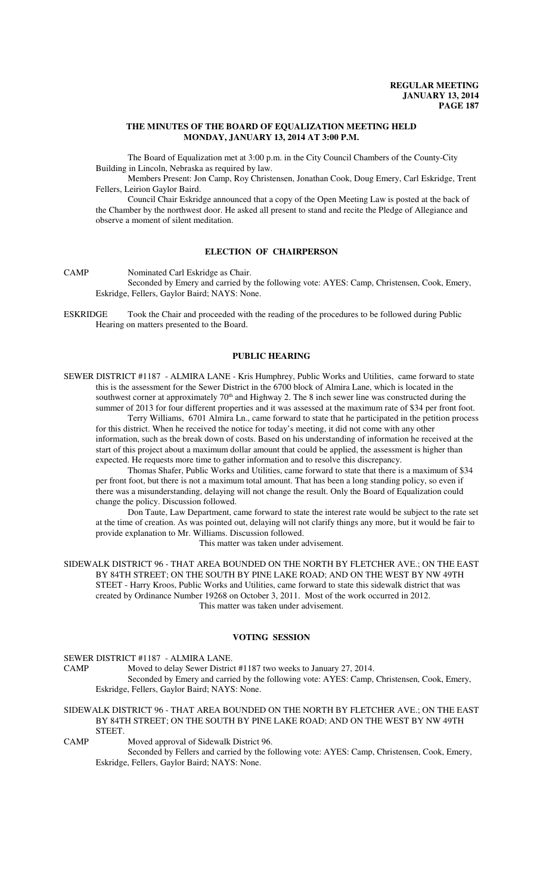## **THE MINUTES OF THE BOARD OF EQUALIZATION MEETING HELD MONDAY, JANUARY 13, 2014 AT 3:00 P.M.**

The Board of Equalization met at 3:00 p.m. in the City Council Chambers of the County-City Building in Lincoln, Nebraska as required by law.

Members Present: Jon Camp, Roy Christensen, Jonathan Cook, Doug Emery, Carl Eskridge, Trent Fellers, Leirion Gaylor Baird.

Council Chair Eskridge announced that a copy of the Open Meeting Law is posted at the back of the Chamber by the northwest door. He asked all present to stand and recite the Pledge of Allegiance and observe a moment of silent meditation.

# **ELECTION OF CHAIRPERSON**

CAMP Nominated Carl Eskridge as Chair.

Seconded by Emery and carried by the following vote: AYES: Camp, Christensen, Cook, Emery, Eskridge, Fellers, Gaylor Baird; NAYS: None.

ESKRIDGE Took the Chair and proceeded with the reading of the procedures to be followed during Public Hearing on matters presented to the Board.

# **PUBLIC HEARING**

SEWER DISTRICT #1187 - ALMIRA LANE - Kris Humphrey, Public Works and Utilities, came forward to state this is the assessment for the Sewer District in the 6700 block of Almira Lane, which is located in the southwest corner at approximately 70<sup>th</sup> and Highway 2. The 8 inch sewer line was constructed during the summer of 2013 for four different properties and it was assessed at the maximum rate of \$34 per front foot.

Terry Williams, 6701 Almira Ln., came forward to state that he participated in the petition process for this district. When he received the notice for today's meeting, it did not come with any other information, such as the break down of costs. Based on his understanding of information he received at the start of this project about a maximum dollar amount that could be applied, the assessment is higher than expected. He requests more time to gather information and to resolve this discrepancy.

Thomas Shafer, Public Works and Utilities, came forward to state that there is a maximum of \$34 per front foot, but there is not a maximum total amount. That has been a long standing policy, so even if there was a misunderstanding, delaying will not change the result. Only the Board of Equalization could change the policy. Discussion followed.

Don Taute, Law Department, came forward to state the interest rate would be subject to the rate set at the time of creation. As was pointed out, delaying will not clarify things any more, but it would be fair to provide explanation to Mr. Williams. Discussion followed.

This matter was taken under advisement.

SIDEWALK DISTRICT 96 - THAT AREA BOUNDED ON THE NORTH BY FLETCHER AVE.; ON THE EAST BY 84TH STREET; ON THE SOUTH BY PINE LAKE ROAD; AND ON THE WEST BY NW 49TH STEET - Harry Kroos, Public Works and Utilities, came forward to state this sidewalk district that was created by Ordinance Number 19268 on October 3, 2011. Most of the work occurred in 2012. This matter was taken under advisement.

#### **VOTING SESSION**

SEWER DISTRICT #1187 - ALMIRA LANE.

CAMP Moved to delay Sewer District #1187 two weeks to January 27, 2014. Seconded by Emery and carried by the following vote: AYES: Camp, Christensen, Cook, Emery, Eskridge, Fellers, Gaylor Baird; NAYS: None.

#### SIDEWALK DISTRICT 96 - THAT AREA BOUNDED ON THE NORTH BY FLETCHER AVE.; ON THE EAST BY 84TH STREET; ON THE SOUTH BY PINE LAKE ROAD; AND ON THE WEST BY NW 49TH STEET.

CAMP Moved approval of Sidewalk District 96.

Seconded by Fellers and carried by the following vote: AYES: Camp, Christensen, Cook, Emery, Eskridge, Fellers, Gaylor Baird; NAYS: None.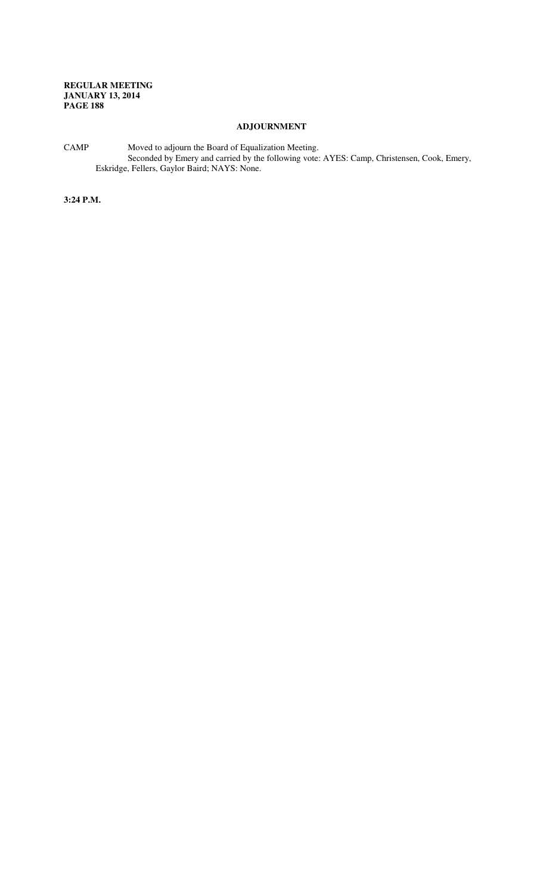# **ADJOURNMENT**

CAMP Moved to adjourn the Board of Equalization Meeting. Seconded by Emery and carried by the following vote: AYES: Camp, Christensen, Cook, Emery, Eskridge, Fellers, Gaylor Baird; NAYS: None.

**3:24 P.M.**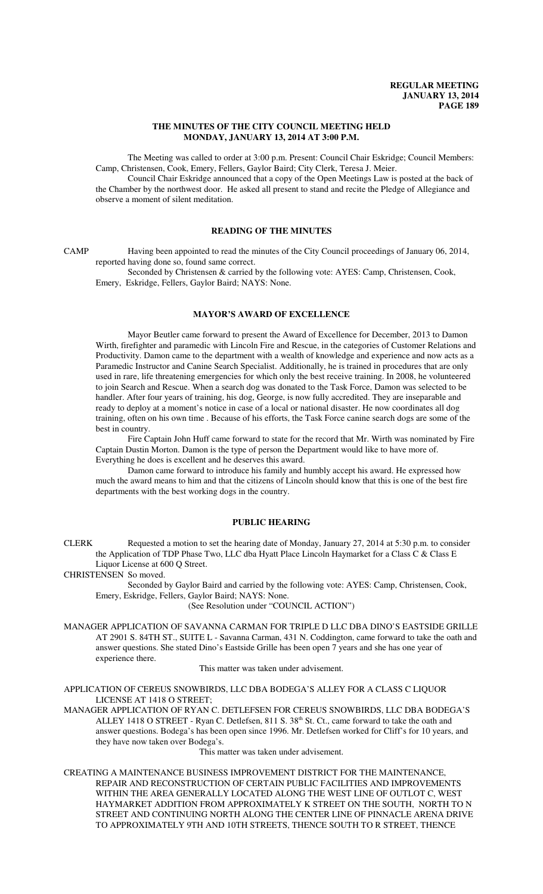# **THE MINUTES OF THE CITY COUNCIL MEETING HELD MONDAY, JANUARY 13, 2014 AT 3:00 P.M.**

The Meeting was called to order at 3:00 p.m. Present: Council Chair Eskridge; Council Members: Camp, Christensen, Cook, Emery, Fellers, Gaylor Baird; City Clerk, Teresa J. Meier.

Council Chair Eskridge announced that a copy of the Open Meetings Law is posted at the back of the Chamber by the northwest door. He asked all present to stand and recite the Pledge of Allegiance and observe a moment of silent meditation.

# **READING OF THE MINUTES**

CAMP Having been appointed to read the minutes of the City Council proceedings of January 06, 2014, reported having done so, found same correct.

Seconded by Christensen & carried by the following vote: AYES: Camp, Christensen, Cook, Emery, Eskridge, Fellers, Gaylor Baird; NAYS: None.

# **MAYOR'S AWARD OF EXCELLENCE**

Mayor Beutler came forward to present the Award of Excellence for December, 2013 to Damon Wirth, firefighter and paramedic with Lincoln Fire and Rescue, in the categories of Customer Relations and Productivity. Damon came to the department with a wealth of knowledge and experience and now acts as a Paramedic Instructor and Canine Search Specialist. Additionally, he is trained in procedures that are only used in rare, life threatening emergencies for which only the best receive training. In 2008, he volunteered to join Search and Rescue. When a search dog was donated to the Task Force, Damon was selected to be handler. After four years of training, his dog, George, is now fully accredited. They are inseparable and ready to deploy at a moment's notice in case of a local or national disaster. He now coordinates all dog training, often on his own time . Because of his efforts, the Task Force canine search dogs are some of the best in country.

Fire Captain John Huff came forward to state for the record that Mr. Wirth was nominated by Fire Captain Dustin Morton. Damon is the type of person the Department would like to have more of. Everything he does is excellent and he deserves this award.

Damon came forward to introduce his family and humbly accept his award. He expressed how much the award means to him and that the citizens of Lincoln should know that this is one of the best fire departments with the best working dogs in the country.

## **PUBLIC HEARING**

CLERK Requested a motion to set the hearing date of Monday, January 27, 2014 at 5:30 p.m. to consider the Application of TDP Phase Two, LLC dba Hyatt Place Lincoln Haymarket for a Class C & Class E Liquor License at 600 Q Street.

CHRISTENSEN So moved.

Seconded by Gaylor Baird and carried by the following vote: AYES: Camp, Christensen, Cook, Emery, Eskridge, Fellers, Gaylor Baird; NAYS: None.

(See Resolution under "COUNCIL ACTION")

MANAGER APPLICATION OF SAVANNA CARMAN FOR TRIPLE D LLC DBA DINO'S EASTSIDE GRILLE AT 2901 S. 84TH ST., SUITE L - Savanna Carman, 431 N. Coddington, came forward to take the oath and answer questions. She stated Dino's Eastside Grille has been open 7 years and she has one year of experience there.

This matter was taken under advisement.

APPLICATION OF CEREUS SNOWBIRDS, LLC DBA BODEGA'S ALLEY FOR A CLASS C LIQUOR LICENSE AT 1418 O STREET;

MANAGER APPLICATION OF RYAN C. DETLEFSEN FOR CEREUS SNOWBIRDS, LLC DBA BODEGA'S ALLEY 1418 O STREET - Ryan C. Detlefsen, 811 S. 38<sup>th</sup> St. Ct., came forward to take the oath and answer questions. Bodega's has been open since 1996. Mr. Detlefsen worked for Cliff's for 10 years, and they have now taken over Bodega's.

This matter was taken under advisement.

CREATING A MAINTENANCE BUSINESS IMPROVEMENT DISTRICT FOR THE MAINTENANCE, REPAIR AND RECONSTRUCTION OF CERTAIN PUBLIC FACILITIES AND IMPROVEMENTS WITHIN THE AREA GENERALLY LOCATED ALONG THE WEST LINE OF OUTLOT C, WEST HAYMARKET ADDITION FROM APPROXIMATELY K STREET ON THE SOUTH, NORTH TO N STREET AND CONTINUING NORTH ALONG THE CENTER LINE OF PINNACLE ARENA DRIVE TO APPROXIMATELY 9TH AND 10TH STREETS, THENCE SOUTH TO R STREET, THENCE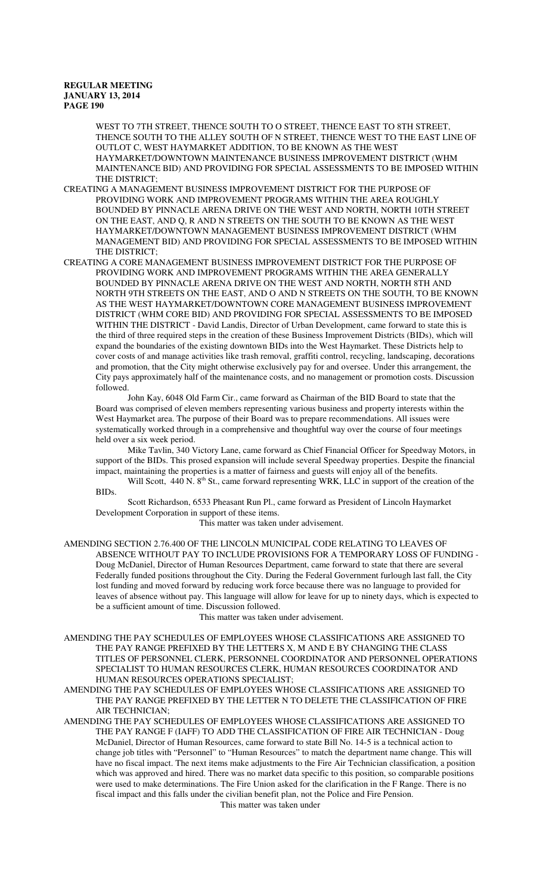WEST TO 7TH STREET, THENCE SOUTH TO O STREET, THENCE EAST TO 8TH STREET, THENCE SOUTH TO THE ALLEY SOUTH OF N STREET, THENCE WEST TO THE EAST LINE OF OUTLOT C, WEST HAYMARKET ADDITION, TO BE KNOWN AS THE WEST HAYMARKET/DOWNTOWN MAINTENANCE BUSINESS IMPROVEMENT DISTRICT (WHM MAINTENANCE BID) AND PROVIDING FOR SPECIAL ASSESSMENTS TO BE IMPOSED WITHIN THE DISTRICT;

- CREATING A MANAGEMENT BUSINESS IMPROVEMENT DISTRICT FOR THE PURPOSE OF PROVIDING WORK AND IMPROVEMENT PROGRAMS WITHIN THE AREA ROUGHLY BOUNDED BY PINNACLE ARENA DRIVE ON THE WEST AND NORTH, NORTH 10TH STREET ON THE EAST, AND Q, R AND N STREETS ON THE SOUTH TO BE KNOWN AS THE WEST HAYMARKET/DOWNTOWN MANAGEMENT BUSINESS IMPROVEMENT DISTRICT (WHM MANAGEMENT BID) AND PROVIDING FOR SPECIAL ASSESSMENTS TO BE IMPOSED WITHIN THE DISTRICT;
- CREATING A CORE MANAGEMENT BUSINESS IMPROVEMENT DISTRICT FOR THE PURPOSE OF PROVIDING WORK AND IMPROVEMENT PROGRAMS WITHIN THE AREA GENERALLY BOUNDED BY PINNACLE ARENA DRIVE ON THE WEST AND NORTH, NORTH 8TH AND NORTH 9TH STREETS ON THE EAST, AND O AND N STREETS ON THE SOUTH, TO BE KNOWN AS THE WEST HAYMARKET/DOWNTOWN CORE MANAGEMENT BUSINESS IMPROVEMENT DISTRICT (WHM CORE BID) AND PROVIDING FOR SPECIAL ASSESSMENTS TO BE IMPOSED WITHIN THE DISTRICT - David Landis, Director of Urban Development, came forward to state this is the third of three required steps in the creation of these Business Improvement Districts (BIDs), which will expand the boundaries of the existing downtown BIDs into the West Haymarket. These Districts help to cover costs of and manage activities like trash removal, graffiti control, recycling, landscaping, decorations and promotion, that the City might otherwise exclusively pay for and oversee. Under this arrangement, the City pays approximately half of the maintenance costs, and no management or promotion costs. Discussion followed.

John Kay, 6048 Old Farm Cir., came forward as Chairman of the BID Board to state that the Board was comprised of eleven members representing various business and property interests within the West Haymarket area. The purpose of their Board was to prepare recommendations. All issues were systematically worked through in a comprehensive and thoughtful way over the course of four meetings held over a six week period.

Mike Tavlin, 340 Victory Lane, came forward as Chief Financial Officer for Speedway Motors, in support of the BIDs. This prosed expansion will include several Speedway properties. Despite the financial impact, maintaining the properties is a matter of fairness and guests will enjoy all of the benefits.

Will Scott, 440 N. 8<sup>th</sup> St., came forward representing WRK, LLC in support of the creation of the BIDs.

Scott Richardson, 6533 Pheasant Run Pl., came forward as President of Lincoln Haymarket Development Corporation in support of these items.

This matter was taken under advisement.

AMENDING SECTION 2.76.400 OF THE LINCOLN MUNICIPAL CODE RELATING TO LEAVES OF ABSENCE WITHOUT PAY TO INCLUDE PROVISIONS FOR A TEMPORARY LOSS OF FUNDING - Doug McDaniel, Director of Human Resources Department, came forward to state that there are several Federally funded positions throughout the City. During the Federal Government furlough last fall, the City lost funding and moved forward by reducing work force because there was no language to provided for leaves of absence without pay. This language will allow for leave for up to ninety days, which is expected to be a sufficient amount of time. Discussion followed.

This matter was taken under advisement.

AMENDING THE PAY SCHEDULES OF EMPLOYEES WHOSE CLASSIFICATIONS ARE ASSIGNED TO THE PAY RANGE PREFIXED BY THE LETTERS X, M AND E BY CHANGING THE CLASS TITLES OF PERSONNEL CLERK, PERSONNEL COORDINATOR AND PERSONNEL OPERATIONS SPECIALIST TO HUMAN RESOURCES CLERK, HUMAN RESOURCES COORDINATOR AND HUMAN RESOURCES OPERATIONS SPECIALIST;

AMENDING THE PAY SCHEDULES OF EMPLOYEES WHOSE CLASSIFICATIONS ARE ASSIGNED TO THE PAY RANGE PREFIXED BY THE LETTER N TO DELETE THE CLASSIFICATION OF FIRE AIR TECHNICIAN;

AMENDING THE PAY SCHEDULES OF EMPLOYEES WHOSE CLASSIFICATIONS ARE ASSIGNED TO THE PAY RANGE F (IAFF) TO ADD THE CLASSIFICATION OF FIRE AIR TECHNICIAN - Doug McDaniel, Director of Human Resources, came forward to state Bill No. 14-5 is a technical action to change job titles with "Personnel" to "Human Resources" to match the department name change. This will have no fiscal impact. The next items make adjustments to the Fire Air Technician classification, a position which was approved and hired. There was no market data specific to this position, so comparable positions were used to make determinations. The Fire Union asked for the clarification in the F Range. There is no fiscal impact and this falls under the civilian benefit plan, not the Police and Fire Pension.

This matter was taken under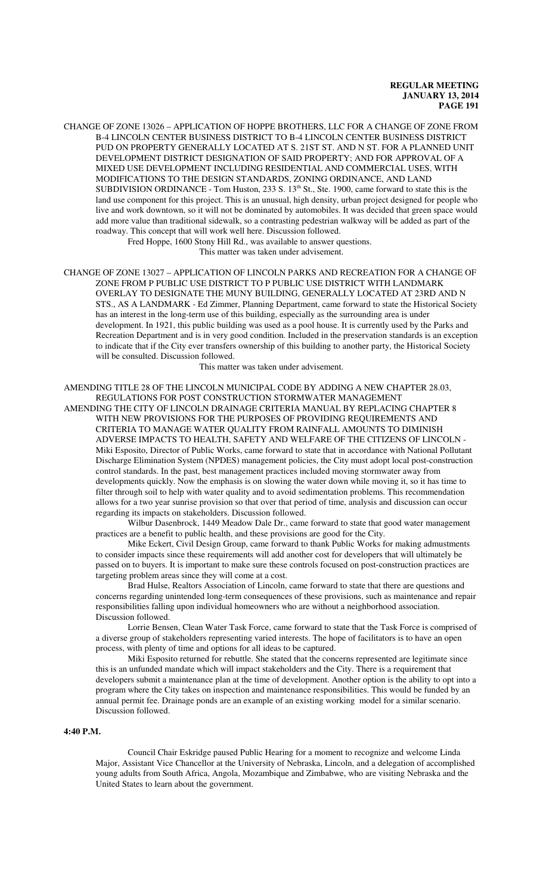CHANGE OF ZONE 13026 – APPLICATION OF HOPPE BROTHERS, LLC FOR A CHANGE OF ZONE FROM B-4 LINCOLN CENTER BUSINESS DISTRICT TO B-4 LINCOLN CENTER BUSINESS DISTRICT PUD ON PROPERTY GENERALLY LOCATED AT S. 21ST ST. AND N ST. FOR A PLANNED UNIT DEVELOPMENT DISTRICT DESIGNATION OF SAID PROPERTY; AND FOR APPROVAL OF A MIXED USE DEVELOPMENT INCLUDING RESIDENTIAL AND COMMERCIAL USES, WITH MODIFICATIONS TO THE DESIGN STANDARDS, ZONING ORDINANCE, AND LAND SUBDIVISION ORDINANCE - Tom Huston, 233 S. 13<sup>th</sup> St., Ste. 1900, came forward to state this is the land use component for this project. This is an unusual, high density, urban project designed for people who live and work downtown, so it will not be dominated by automobiles. It was decided that green space would add more value than traditional sidewalk, so a contrasting pedestrian walkway will be added as part of the roadway. This concept that will work well here. Discussion followed.

Fred Hoppe, 1600 Stony Hill Rd., was available to answer questions.

This matter was taken under advisement.

CHANGE OF ZONE 13027 – APPLICATION OF LINCOLN PARKS AND RECREATION FOR A CHANGE OF ZONE FROM P PUBLIC USE DISTRICT TO P PUBLIC USE DISTRICT WITH LANDMARK OVERLAY TO DESIGNATE THE MUNY BUILDING, GENERALLY LOCATED AT 23RD AND N STS., AS A LANDMARK - Ed Zimmer, Planning Department, came forward to state the Historical Society has an interest in the long-term use of this building, especially as the surrounding area is under development. In 1921, this public building was used as a pool house. It is currently used by the Parks and Recreation Department and is in very good condition. Included in the preservation standards is an exception to indicate that if the City ever transfers ownership of this building to another party, the Historical Society will be consulted. Discussion followed.

This matter was taken under advisement.

AMENDING TITLE 28 OF THE LINCOLN MUNICIPAL CODE BY ADDING A NEW CHAPTER 28.03, REGULATIONS FOR POST CONSTRUCTION STORMWATER MANAGEMENT

AMENDING THE CITY OF LINCOLN DRAINAGE CRITERIA MANUAL BY REPLACING CHAPTER 8 WITH NEW PROVISIONS FOR THE PURPOSES OF PROVIDING REQUIREMENTS AND CRITERIA TO MANAGE WATER QUALITY FROM RAINFALL AMOUNTS TO DIMINISH ADVERSE IMPACTS TO HEALTH, SAFETY AND WELFARE OF THE CITIZENS OF LINCOLN - Miki Esposito, Director of Public Works, came forward to state that in accordance with National Pollutant Discharge Elimination System (NPDES) management policies, the City must adopt local post-construction control standards. In the past, best management practices included moving stormwater away from developments quickly. Now the emphasis is on slowing the water down while moving it, so it has time to filter through soil to help with water quality and to avoid sedimentation problems. This recommendation allows for a two year sunrise provision so that over that period of time, analysis and discussion can occur regarding its impacts on stakeholders. Discussion followed.

Wilbur Dasenbrock, 1449 Meadow Dale Dr., came forward to state that good water management practices are a benefit to public health, and these provisions are good for the City.

Mike Eckert, Civil Design Group, came forward to thank Public Works for making admustments to consider impacts since these requirements will add another cost for developers that will ultimately be passed on to buyers. It is important to make sure these controls focused on post-construction practices are targeting problem areas since they will come at a cost.

Brad Hulse, Realtors Association of Lincoln, came forward to state that there are questions and concerns regarding unintended long-term consequences of these provisions, such as maintenance and repair responsibilities falling upon individual homeowners who are without a neighborhood association. Discussion followed.

Lorrie Bensen, Clean Water Task Force, came forward to state that the Task Force is comprised of a diverse group of stakeholders representing varied interests. The hope of facilitators is to have an open process, with plenty of time and options for all ideas to be captured.

Miki Esposito returned for rebuttle. She stated that the concerns represented are legitimate since this is an unfunded mandate which will impact stakeholders and the City. There is a requirement that developers submit a maintenance plan at the time of development. Another option is the ability to opt into a program where the City takes on inspection and maintenance responsibilities. This would be funded by an annual permit fee. Drainage ponds are an example of an existing working model for a similar scenario. Discussion followed.

# **4:40 P.M.**

Council Chair Eskridge paused Public Hearing for a moment to recognize and welcome Linda Major, Assistant Vice Chancellor at the University of Nebraska, Lincoln, and a delegation of accomplished young adults from South Africa, Angola, Mozambique and Zimbabwe, who are visiting Nebraska and the United States to learn about the government.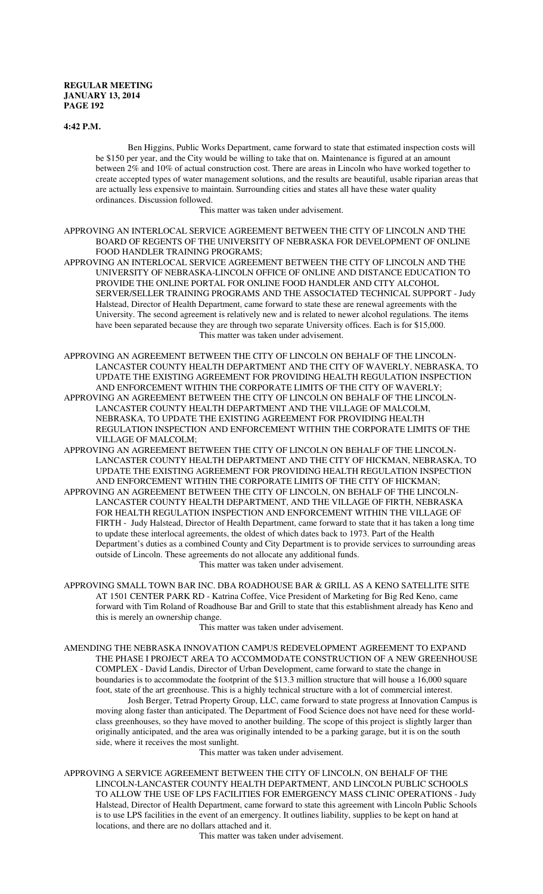#### **4:42 P.M.**

Ben Higgins, Public Works Department, came forward to state that estimated inspection costs will be \$150 per year, and the City would be willing to take that on. Maintenance is figured at an amount between 2% and 10% of actual construction cost. There are areas in Lincoln who have worked together to create accepted types of water management solutions, and the results are beautiful, usable riparian areas that are actually less expensive to maintain. Surrounding cities and states all have these water quality ordinances. Discussion followed.

This matter was taken under advisement.

APPROVING AN INTERLOCAL SERVICE AGREEMENT BETWEEN THE CITY OF LINCOLN AND THE BOARD OF REGENTS OF THE UNIVERSITY OF NEBRASKA FOR DEVELOPMENT OF ONLINE FOOD HANDLER TRAINING PROGRAMS;

APPROVING AN INTERLOCAL SERVICE AGREEMENT BETWEEN THE CITY OF LINCOLN AND THE UNIVERSITY OF NEBRASKA-LINCOLN OFFICE OF ONLINE AND DISTANCE EDUCATION TO PROVIDE THE ONLINE PORTAL FOR ONLINE FOOD HANDLER AND CITY ALCOHOL SERVER/SELLER TRAINING PROGRAMS AND THE ASSOCIATED TECHNICAL SUPPORT - Judy Halstead, Director of Health Department, came forward to state these are renewal agreements with the University. The second agreement is relatively new and is related to newer alcohol regulations. The items have been separated because they are through two separate University offices. Each is for \$15,000. This matter was taken under advisement.

APPROVING AN AGREEMENT BETWEEN THE CITY OF LINCOLN ON BEHALF OF THE LINCOLN-LANCASTER COUNTY HEALTH DEPARTMENT AND THE CITY OF WAVERLY, NEBRASKA, TO UPDATE THE EXISTING AGREEMENT FOR PROVIDING HEALTH REGULATION INSPECTION AND ENFORCEMENT WITHIN THE CORPORATE LIMITS OF THE CITY OF WAVERLY; APPROVING AN AGREEMENT BETWEEN THE CITY OF LINCOLN ON BEHALF OF THE LINCOLN-LANCASTER COUNTY HEALTH DEPARTMENT AND THE VILLAGE OF MALCOLM, NEBRASKA, TO UPDATE THE EXISTING AGREEMENT FOR PROVIDING HEALTH REGULATION INSPECTION AND ENFORCEMENT WITHIN THE CORPORATE LIMITS OF THE

VILLAGE OF MALCOLM; APPROVING AN AGREEMENT BETWEEN THE CITY OF LINCOLN ON BEHALF OF THE LINCOLN-LANCASTER COUNTY HEALTH DEPARTMENT AND THE CITY OF HICKMAN, NEBRASKA, TO UPDATE THE EXISTING AGREEMENT FOR PROVIDING HEALTH REGULATION INSPECTION AND ENFORCEMENT WITHIN THE CORPORATE LIMITS OF THE CITY OF HICKMAN;

APPROVING AN AGREEMENT BETWEEN THE CITY OF LINCOLN, ON BEHALF OF THE LINCOLN-LANCASTER COUNTY HEALTH DEPARTMENT, AND THE VILLAGE OF FIRTH, NEBRASKA FOR HEALTH REGULATION INSPECTION AND ENFORCEMENT WITHIN THE VILLAGE OF FIRTH - Judy Halstead, Director of Health Department, came forward to state that it has taken a long time to update these interlocal agreements, the oldest of which dates back to 1973. Part of the Health Department's duties as a combined County and City Department is to provide services to surrounding areas outside of Lincoln. These agreements do not allocate any additional funds. This matter was taken under advisement.

APPROVING SMALL TOWN BAR INC. DBA ROADHOUSE BAR & GRILL AS A KENO SATELLITE SITE AT 1501 CENTER PARK RD - Katrina Coffee, Vice President of Marketing for Big Red Keno, came forward with Tim Roland of Roadhouse Bar and Grill to state that this establishment already has Keno and this is merely an ownership change.

This matter was taken under advisement.

AMENDING THE NEBRASKA INNOVATION CAMPUS REDEVELOPMENT AGREEMENT TO EXPAND THE PHASE I PROJECT AREA TO ACCOMMODATE CONSTRUCTION OF A NEW GREENHOUSE COMPLEX - David Landis, Director of Urban Development, came forward to state the change in boundaries is to accommodate the footprint of the \$13.3 million structure that will house a 16,000 square foot, state of the art greenhouse. This is a highly technical structure with a lot of commercial interest. Josh Berger, Tetrad Property Group, LLC, came forward to state progress at Innovation Campus is

moving along faster than anticipated. The Department of Food Science does not have need for these worldclass greenhouses, so they have moved to another building. The scope of this project is slightly larger than originally anticipated, and the area was originally intended to be a parking garage, but it is on the south side, where it receives the most sunlight.

This matter was taken under advisement.

APPROVING A SERVICE AGREEMENT BETWEEN THE CITY OF LINCOLN, ON BEHALF OF THE LINCOLN-LANCASTER COUNTY HEALTH DEPARTMENT, AND LINCOLN PUBLIC SCHOOLS TO ALLOW THE USE OF LPS FACILITIES FOR EMERGENCY MASS CLINIC OPERATIONS - Judy Halstead, Director of Health Department, came forward to state this agreement with Lincoln Public Schools is to use LPS facilities in the event of an emergency. It outlines liability, supplies to be kept on hand at locations, and there are no dollars attached and it.

This matter was taken under advisement.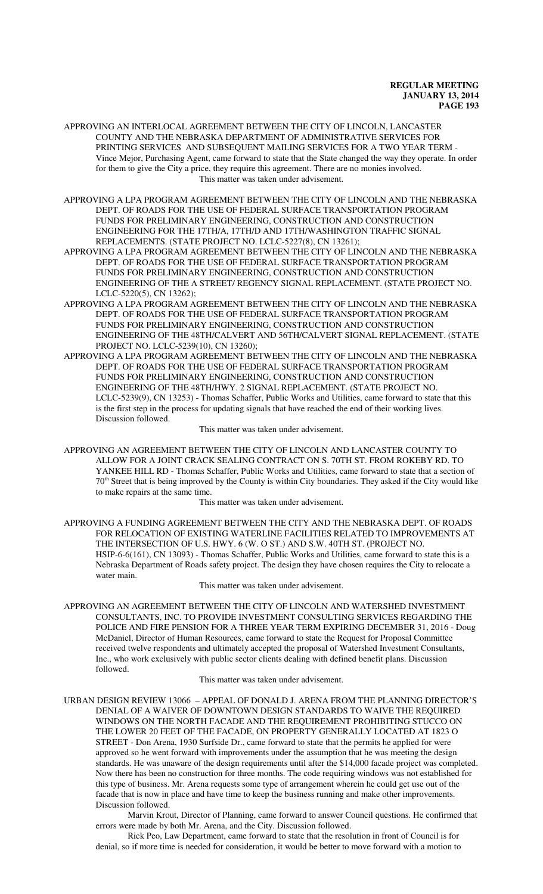APPROVING AN INTERLOCAL AGREEMENT BETWEEN THE CITY OF LINCOLN, LANCASTER COUNTY AND THE NEBRASKA DEPARTMENT OF ADMINISTRATIVE SERVICES FOR PRINTING SERVICES AND SUBSEQUENT MAILING SERVICES FOR A TWO YEAR TERM - Vince Mejor, Purchasing Agent, came forward to state that the State changed the way they operate. In order for them to give the City a price, they require this agreement. There are no monies involved. This matter was taken under advisement.

APPROVING A LPA PROGRAM AGREEMENT BETWEEN THE CITY OF LINCOLN AND THE NEBRASKA DEPT. OF ROADS FOR THE USE OF FEDERAL SURFACE TRANSPORTATION PROGRAM FUNDS FOR PRELIMINARY ENGINEERING, CONSTRUCTION AND CONSTRUCTION ENGINEERING FOR THE 17TH/A, 17TH/D AND 17TH/WASHINGTON TRAFFIC SIGNAL REPLACEMENTS. (STATE PROJECT NO. LCLC-5227(8), CN 13261);

- APPROVING A LPA PROGRAM AGREEMENT BETWEEN THE CITY OF LINCOLN AND THE NEBRASKA DEPT. OF ROADS FOR THE USE OF FEDERAL SURFACE TRANSPORTATION PROGRAM FUNDS FOR PRELIMINARY ENGINEERING, CONSTRUCTION AND CONSTRUCTION ENGINEERING OF THE A STREET/ REGENCY SIGNAL REPLACEMENT. (STATE PROJECT NO. LCLC-5220(5), CN 13262);
- APPROVING A LPA PROGRAM AGREEMENT BETWEEN THE CITY OF LINCOLN AND THE NEBRASKA DEPT. OF ROADS FOR THE USE OF FEDERAL SURFACE TRANSPORTATION PROGRAM FUNDS FOR PRELIMINARY ENGINEERING, CONSTRUCTION AND CONSTRUCTION ENGINEERING OF THE 48TH/CALVERT AND 56TH/CALVERT SIGNAL REPLACEMENT. (STATE PROJECT NO. LCLC-5239(10), CN 13260);
- APPROVING A LPA PROGRAM AGREEMENT BETWEEN THE CITY OF LINCOLN AND THE NEBRASKA DEPT. OF ROADS FOR THE USE OF FEDERAL SURFACE TRANSPORTATION PROGRAM FUNDS FOR PRELIMINARY ENGINEERING, CONSTRUCTION AND CONSTRUCTION ENGINEERING OF THE 48TH/HWY. 2 SIGNAL REPLACEMENT. (STATE PROJECT NO. LCLC-5239(9), CN 13253) - Thomas Schaffer, Public Works and Utilities, came forward to state that this is the first step in the process for updating signals that have reached the end of their working lives. Discussion followed.

This matter was taken under advisement.

APPROVING AN AGREEMENT BETWEEN THE CITY OF LINCOLN AND LANCASTER COUNTY TO ALLOW FOR A JOINT CRACK SEALING CONTRACT ON S. 70TH ST. FROM ROKEBY RD. TO YANKEE HILL RD - Thomas Schaffer, Public Works and Utilities, came forward to state that a section of 70th Street that is being improved by the County is within City boundaries. They asked if the City would like to make repairs at the same time.

This matter was taken under advisement.

APPROVING A FUNDING AGREEMENT BETWEEN THE CITY AND THE NEBRASKA DEPT. OF ROADS FOR RELOCATION OF EXISTING WATERLINE FACILITIES RELATED TO IMPROVEMENTS AT THE INTERSECTION OF U.S. HWY. 6 (W. O ST.) AND S.W. 40TH ST. (PROJECT NO. HSIP-6-6(161), CN 13093) - Thomas Schaffer, Public Works and Utilities, came forward to state this is a Nebraska Department of Roads safety project. The design they have chosen requires the City to relocate a water main.

This matter was taken under advisement.

APPROVING AN AGREEMENT BETWEEN THE CITY OF LINCOLN AND WATERSHED INVESTMENT CONSULTANTS, INC. TO PROVIDE INVESTMENT CONSULTING SERVICES REGARDING THE POLICE AND FIRE PENSION FOR A THREE YEAR TERM EXPIRING DECEMBER 31, 2016 - Doug McDaniel, Director of Human Resources, came forward to state the Request for Proposal Committee received twelve respondents and ultimately accepted the proposal of Watershed Investment Consultants, Inc., who work exclusively with public sector clients dealing with defined benefit plans. Discussion followed.

This matter was taken under advisement.

URBAN DESIGN REVIEW 13066 – APPEAL OF DONALD J. ARENA FROM THE PLANNING DIRECTOR'S DENIAL OF A WAIVER OF DOWNTOWN DESIGN STANDARDS TO WAIVE THE REQUIRED WINDOWS ON THE NORTH FACADE AND THE REQUIREMENT PROHIBITING STUCCO ON THE LOWER 20 FEET OF THE FACADE, ON PROPERTY GENERALLY LOCATED AT 1823 O STREET - Don Arena, 1930 Surfside Dr., came forward to state that the permits he applied for were approved so he went forward with improvements under the assumption that he was meeting the design standards. He was unaware of the design requirements until after the \$14,000 facade project was completed. Now there has been no construction for three months. The code requiring windows was not established for this type of business. Mr. Arena requests some type of arrangement wherein he could get use out of the facade that is now in place and have time to keep the business running and make other improvements. Discussion followed.

Marvin Krout, Director of Planning, came forward to answer Council questions. He confirmed that errors were made by both Mr. Arena, and the City. Discussion followed.

Rick Peo, Law Department, came forward to state that the resolution in front of Council is for denial, so if more time is needed for consideration, it would be better to move forward with a motion to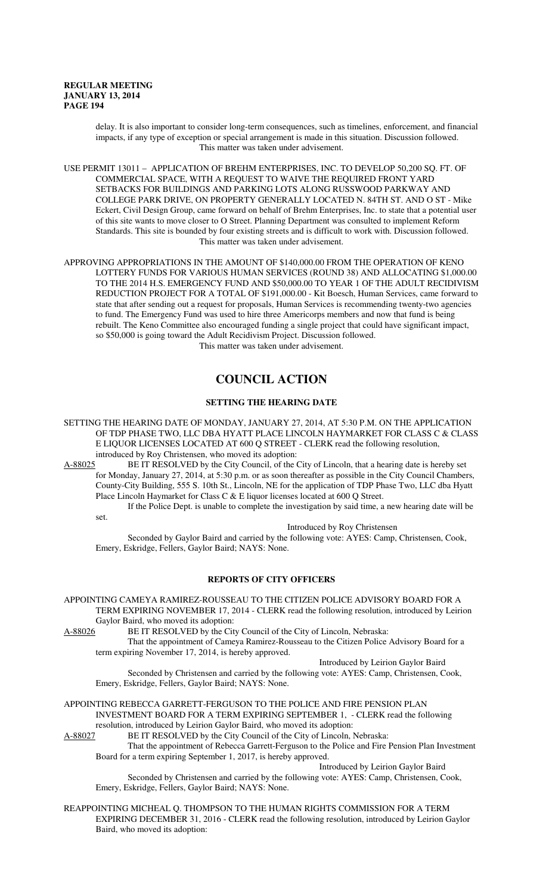delay. It is also important to consider long-term consequences, such as timelines, enforcement, and financial impacts, if any type of exception or special arrangement is made in this situation. Discussion followed. This matter was taken under advisement.

USE PERMIT 13011 – APPLICATION OF BREHM ENTERPRISES, INC. TO DEVELOP 50,200 SQ. FT. OF COMMERCIAL SPACE, WITH A REQUEST TO WAIVE THE REQUIRED FRONT YARD SETBACKS FOR BUILDINGS AND PARKING LOTS ALONG RUSSWOOD PARKWAY AND COLLEGE PARK DRIVE, ON PROPERTY GENERALLY LOCATED N. 84TH ST. AND O ST - Mike Eckert, Civil Design Group, came forward on behalf of Brehm Enterprises, Inc. to state that a potential user of this site wants to move closer to O Street. Planning Department was consulted to implement Reform Standards. This site is bounded by four existing streets and is difficult to work with. Discussion followed. This matter was taken under advisement.

APPROVING APPROPRIATIONS IN THE AMOUNT OF \$140,000.00 FROM THE OPERATION OF KENO LOTTERY FUNDS FOR VARIOUS HUMAN SERVICES (ROUND 38) AND ALLOCATING \$1,000.00 TO THE 2014 H.S. EMERGENCY FUND AND \$50,000.00 TO YEAR 1 OF THE ADULT RECIDIVISM REDUCTION PROJECT FOR A TOTAL OF \$191,000.00 - Kit Boesch, Human Services, came forward to state that after sending out a request for proposals, Human Services is recommending twenty-two agencies to fund. The Emergency Fund was used to hire three Americorps members and now that fund is being rebuilt. The Keno Committee also encouraged funding a single project that could have significant impact, so \$50,000 is going toward the Adult Recidivism Project. Discussion followed. This matter was taken under advisement.

# **COUNCIL ACTION**

# **SETTING THE HEARING DATE**

SETTING THE HEARING DATE OF MONDAY, JANUARY 27, 2014, AT 5:30 P.M. ON THE APPLICATION OF TDP PHASE TWO, LLC DBA HYATT PLACE LINCOLN HAYMARKET FOR CLASS C & CLASS E LIQUOR LICENSES LOCATED AT 600 Q STREET - CLERK read the following resolution, introduced by Roy Christensen, who moved its adoption:

A-88025 BE IT RESOLVED by the City Council, of the City of Lincoln, that a hearing date is hereby set for Monday, January 27, 2014, at 5:30 p.m. or as soon thereafter as possible in the City Council Chambers, County-City Building, 555 S. 10th St., Lincoln, NE for the application of TDP Phase Two, LLC dba Hyatt Place Lincoln Haymarket for Class C & E liquor licenses located at 600 Q Street.

If the Police Dept. is unable to complete the investigation by said time, a new hearing date will be set.

Introduced by Roy Christensen

Seconded by Gaylor Baird and carried by the following vote: AYES: Camp, Christensen, Cook, Emery, Eskridge, Fellers, Gaylor Baird; NAYS: None.

# **REPORTS OF CITY OFFICERS**

APPOINTING CAMEYA RAMIREZ-ROUSSEAU TO THE CITIZEN POLICE ADVISORY BOARD FOR A TERM EXPIRING NOVEMBER 17, 2014 - CLERK read the following resolution, introduced by Leirion Gaylor Baird, who moved its adoption:

A-88026 BE IT RESOLVED by the City Council of the City of Lincoln, Nebraska:

That the appointment of Cameya Ramirez-Rousseau to the Citizen Police Advisory Board for a term expiring November 17, 2014, is hereby approved.

Introduced by Leirion Gaylor Baird

Seconded by Christensen and carried by the following vote: AYES: Camp, Christensen, Cook, Emery, Eskridge, Fellers, Gaylor Baird; NAYS: None.

APPOINTING REBECCA GARRETT-FERGUSON TO THE POLICE AND FIRE PENSION PLAN INVESTMENT BOARD FOR A TERM EXPIRING SEPTEMBER 1, - CLERK read the following resolution, introduced by Leirion Gaylor Baird, who moved its adoption:

A-88027 BE IT RESOLVED by the City Council of the City of Lincoln, Nebraska:

That the appointment of Rebecca Garrett-Ferguson to the Police and Fire Pension Plan Investment Board for a term expiring September 1, 2017, is hereby approved.

Introduced by Leirion Gaylor Baird

Seconded by Christensen and carried by the following vote: AYES: Camp, Christensen, Cook, Emery, Eskridge, Fellers, Gaylor Baird; NAYS: None.

REAPPOINTING MICHEAL Q. THOMPSON TO THE HUMAN RIGHTS COMMISSION FOR A TERM EXPIRING DECEMBER 31, 2016 - CLERK read the following resolution, introduced by Leirion Gaylor Baird, who moved its adoption: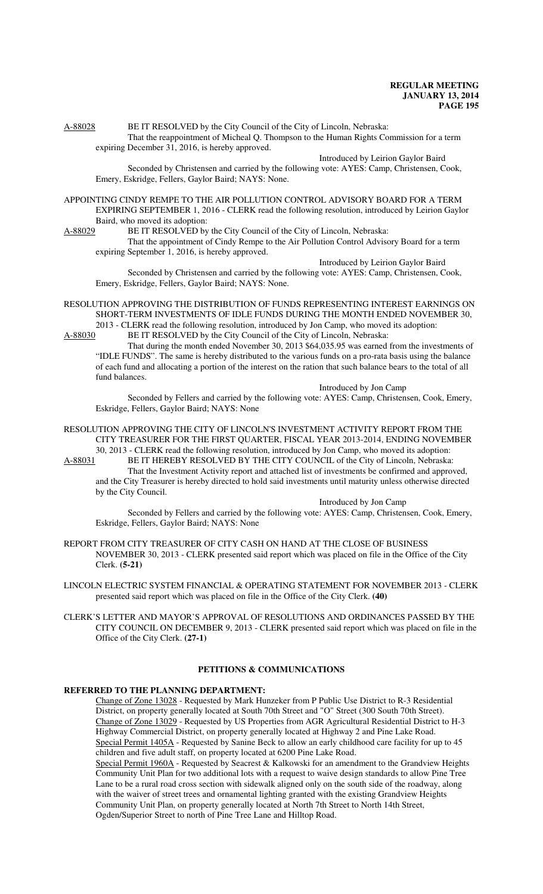A-88028 BE IT RESOLVED by the City Council of the City of Lincoln, Nebraska: That the reappointment of Micheal Q. Thompson to the Human Rights Commission for a term expiring December 31, 2016, is hereby approved.

Introduced by Leirion Gaylor Baird

Seconded by Christensen and carried by the following vote: AYES: Camp, Christensen, Cook, Emery, Eskridge, Fellers, Gaylor Baird; NAYS: None.

APPOINTING CINDY REMPE TO THE AIR POLLUTION CONTROL ADVISORY BOARD FOR A TERM EXPIRING SEPTEMBER 1, 2016 - CLERK read the following resolution, introduced by Leirion Gaylor Baird, who moved its adoption:<br>A-88029 BE IT RESOLVED by

BE IT RESOLVED by the City Council of the City of Lincoln, Nebraska: That the appointment of Cindy Rempe to the Air Pollution Control Advisory Board for a term expiring September 1, 2016, is hereby approved.

Introduced by Leirion Gaylor Baird

Seconded by Christensen and carried by the following vote: AYES: Camp, Christensen, Cook, Emery, Eskridge, Fellers, Gaylor Baird; NAYS: None.

RESOLUTION APPROVING THE DISTRIBUTION OF FUNDS REPRESENTING INTEREST EARNINGS ON SHORT-TERM INVESTMENTS OF IDLE FUNDS DURING THE MONTH ENDED NOVEMBER 30, 2013 - CLERK read the following resolution, introduced by Jon Camp, who moved its adoption:

A-88030 BE IT RESOLVED by the City Council of the City of Lincoln, Nebraska: That during the month ended November 30, 2013 \$64,035.95 was earned from the investments of "IDLE FUNDS". The same is hereby distributed to the various funds on a pro-rata basis using the balance of each fund and allocating a portion of the interest on the ration that such balance bears to the total of all fund balances.

Introduced by Jon Camp

Seconded by Fellers and carried by the following vote: AYES: Camp, Christensen, Cook, Emery, Eskridge, Fellers, Gaylor Baird; NAYS: None

RESOLUTION APPROVING THE CITY OF LINCOLN'S INVESTMENT ACTIVITY REPORT FROM THE CITY TREASURER FOR THE FIRST QUARTER, FISCAL YEAR 2013-2014, ENDING NOVEMBER 30, 2013 - CLERK read the following resolution, introduced by Jon Camp, who moved its adoption:

A-88031 BE IT HEREBY RESOLVED BY THE CITY COUNCIL of the City of Lincoln, Nebraska: That the Investment Activity report and attached list of investments be confirmed and approved, and the City Treasurer is hereby directed to hold said investments until maturity unless otherwise directed by the City Council.

Introduced by Jon Camp

Seconded by Fellers and carried by the following vote: AYES: Camp, Christensen, Cook, Emery, Eskridge, Fellers, Gaylor Baird; NAYS: None

REPORT FROM CITY TREASURER OF CITY CASH ON HAND AT THE CLOSE OF BUSINESS NOVEMBER 30, 2013 - CLERK presented said report which was placed on file in the Office of the City Clerk. **(5-21)**

LINCOLN ELECTRIC SYSTEM FINANCIAL & OPERATING STATEMENT FOR NOVEMBER 2013 - CLERK presented said report which was placed on file in the Office of the City Clerk. **(40)**

CLERK'S LETTER AND MAYOR'S APPROVAL OF RESOLUTIONS AND ORDINANCES PASSED BY THE CITY COUNCIL ON DECEMBER 9, 2013 - CLERK presented said report which was placed on file in the Office of the City Clerk. **(27-1)**

# **PETITIONS & COMMUNICATIONS**

# **REFERRED TO THE PLANNING DEPARTMENT:**

Change of Zone 13028 - Requested by Mark Hunzeker from P Public Use District to R-3 Residential District, on property generally located at South 70th Street and "O" Street (300 South 70th Street). Change of Zone 13029 - Requested by US Properties from AGR Agricultural Residential District to H-3 Highway Commercial District, on property generally located at Highway 2 and Pine Lake Road. Special Permit 1405A - Requested by Sanine Beck to allow an early childhood care facility for up to 45 children and five adult staff, on property located at 6200 Pine Lake Road.

Special Permit 1960A - Requested by Seacrest & Kalkowski for an amendment to the Grandview Heights Community Unit Plan for two additional lots with a request to waive design standards to allow Pine Tree Lane to be a rural road cross section with sidewalk aligned only on the south side of the roadway, along with the waiver of street trees and ornamental lighting granted with the existing Grandview Heights Community Unit Plan, on property generally located at North 7th Street to North 14th Street, Ogden/Superior Street to north of Pine Tree Lane and Hilltop Road.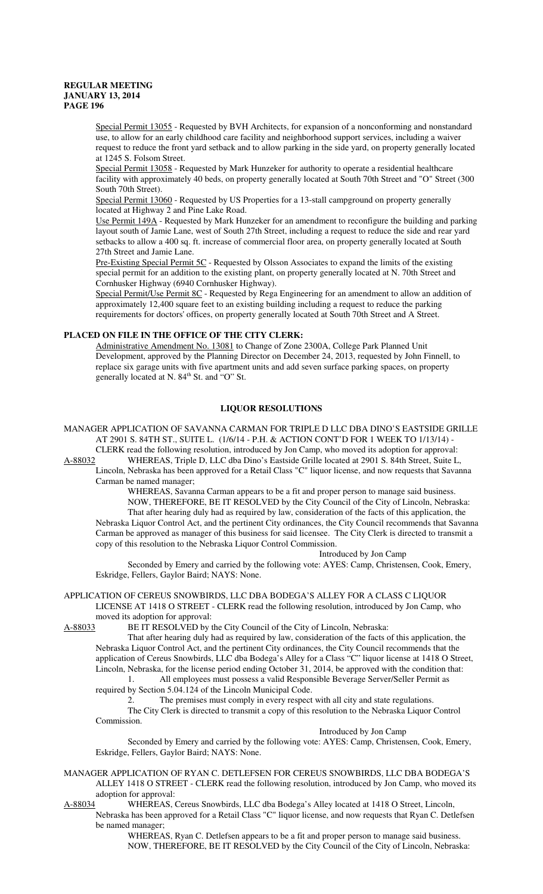Special Permit 13055 - Requested by BVH Architects, for expansion of a nonconforming and nonstandard use, to allow for an early childhood care facility and neighborhood support services, including a waiver request to reduce the front yard setback and to allow parking in the side yard, on property generally located at 1245 S. Folsom Street.

Special Permit 13058 - Requested by Mark Hunzeker for authority to operate a residential healthcare facility with approximately 40 beds, on property generally located at South 70th Street and "O" Street (300 South 70th Street).

Special Permit 13060 - Requested by US Properties for a 13-stall campground on property generally located at Highway 2 and Pine Lake Road.

Use Permit 149A - Requested by Mark Hunzeker for an amendment to reconfigure the building and parking layout south of Jamie Lane, west of South 27th Street, including a request to reduce the side and rear yard setbacks to allow a 400 sq. ft. increase of commercial floor area, on property generally located at South 27th Street and Jamie Lane.

Pre-Existing Special Permit 5C - Requested by Olsson Associates to expand the limits of the existing special permit for an addition to the existing plant, on property generally located at N. 70th Street and Cornhusker Highway (6940 Cornhusker Highway).

Special Permit/Use Permit 8C - Requested by Rega Engineering for an amendment to allow an addition of approximately 12,400 square feet to an existing building including a request to reduce the parking requirements for doctors' offices, on property generally located at South 70th Street and A Street.

# **PLACED ON FILE IN THE OFFICE OF THE CITY CLERK:**

Administrative Amendment No. 13081 to Change of Zone 2300A, College Park Planned Unit Development, approved by the Planning Director on December 24, 2013, requested by John Finnell, to replace six garage units with five apartment units and add seven surface parking spaces, on property generally located at N. 84<sup>th</sup> St. and "O" St.

#### **LIQUOR RESOLUTIONS**

MANAGER APPLICATION OF SAVANNA CARMAN FOR TRIPLE D LLC DBA DINO'S EASTSIDE GRILLE AT 2901 S. 84TH ST., SUITE L. (1/6/14 - P.H. & ACTION CONT'D FOR 1 WEEK TO 1/13/14) - CLERK read the following resolution, introduced by Jon Camp, who moved its adoption for approval:

A-88032 WHEREAS, Triple D, LLC dba Dino's Eastside Grille located at 2901 S. 84th Street, Suite L, Lincoln, Nebraska has been approved for a Retail Class "C" liquor license, and now requests that Savanna Carman be named manager;

WHEREAS, Savanna Carman appears to be a fit and proper person to manage said business.

NOW, THEREFORE, BE IT RESOLVED by the City Council of the City of Lincoln, Nebraska: That after hearing duly had as required by law, consideration of the facts of this application, the Nebraska Liquor Control Act, and the pertinent City ordinances, the City Council recommends that Savanna Carman be approved as manager of this business for said licensee. The City Clerk is directed to transmit a copy of this resolution to the Nebraska Liquor Control Commission.

Introduced by Jon Camp Seconded by Emery and carried by the following vote: AYES: Camp, Christensen, Cook, Emery,

Eskridge, Fellers, Gaylor Baird; NAYS: None.

APPLICATION OF CEREUS SNOWBIRDS, LLC DBA BODEGA'S ALLEY FOR A CLASS C LIQUOR LICENSE AT 1418 O STREET - CLERK read the following resolution, introduced by Jon Camp, who moved its adoption for approval:

A-88033 BE IT RESOLVED by the City Council of the City of Lincoln, Nebraska:

That after hearing duly had as required by law, consideration of the facts of this application, the Nebraska Liquor Control Act, and the pertinent City ordinances, the City Council recommends that the application of Cereus Snowbirds, LLC dba Bodega's Alley for a Class "C" liquor license at 1418 O Street, Lincoln, Nebraska, for the license period ending October 31, 2014, be approved with the condition that: 1. All employees must possess a valid Responsible Beverage Server/Seller Permit as

required by Section 5.04.124 of the Lincoln Municipal Code.

2. The premises must comply in every respect with all city and state regulations.

The City Clerk is directed to transmit a copy of this resolution to the Nebraska Liquor Control Commission.

Introduced by Jon Camp

Seconded by Emery and carried by the following vote: AYES: Camp, Christensen, Cook, Emery, Eskridge, Fellers, Gaylor Baird; NAYS: None.

MANAGER APPLICATION OF RYAN C. DETLEFSEN FOR CEREUS SNOWBIRDS, LLC DBA BODEGA'S ALLEY 1418 O STREET - CLERK read the following resolution, introduced by Jon Camp, who moved its adoption for approval:

A-88034 WHEREAS, Cereus Snowbirds, LLC dba Bodega's Alley located at 1418 O Street, Lincoln, Nebraska has been approved for a Retail Class "C" liquor license, and now requests that Ryan C. Detlefsen be named manager;

> WHEREAS, Ryan C. Detlefsen appears to be a fit and proper person to manage said business. NOW, THEREFORE, BE IT RESOLVED by the City Council of the City of Lincoln, Nebraska: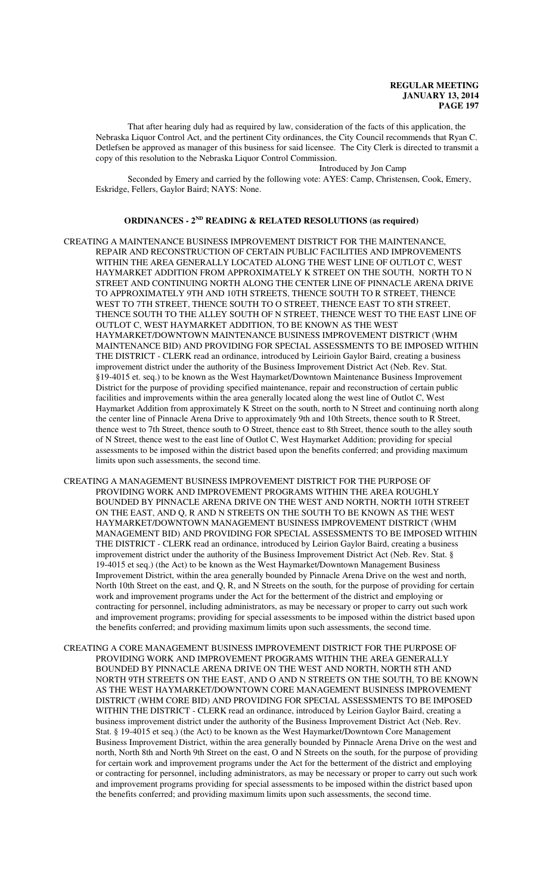That after hearing duly had as required by law, consideration of the facts of this application, the Nebraska Liquor Control Act, and the pertinent City ordinances, the City Council recommends that Ryan C. Detlefsen be approved as manager of this business for said licensee. The City Clerk is directed to transmit a copy of this resolution to the Nebraska Liquor Control Commission.

Introduced by Jon Camp

Seconded by Emery and carried by the following vote: AYES: Camp, Christensen, Cook, Emery, Eskridge, Fellers, Gaylor Baird; NAYS: None.

### **ORDINANCES - 2ND READING & RELATED RESOLUTIONS (as required)**

- CREATING A MAINTENANCE BUSINESS IMPROVEMENT DISTRICT FOR THE MAINTENANCE, REPAIR AND RECONSTRUCTION OF CERTAIN PUBLIC FACILITIES AND IMPROVEMENTS WITHIN THE AREA GENERALLY LOCATED ALONG THE WEST LINE OF OUTLOT C, WEST HAYMARKET ADDITION FROM APPROXIMATELY K STREET ON THE SOUTH, NORTH TO N STREET AND CONTINUING NORTH ALONG THE CENTER LINE OF PINNACLE ARENA DRIVE TO APPROXIMATELY 9TH AND 10TH STREETS, THENCE SOUTH TO R STREET, THENCE WEST TO 7TH STREET, THENCE SOUTH TO O STREET, THENCE EAST TO 8TH STREET, THENCE SOUTH TO THE ALLEY SOUTH OF N STREET, THENCE WEST TO THE EAST LINE OF OUTLOT C, WEST HAYMARKET ADDITION, TO BE KNOWN AS THE WEST HAYMARKET/DOWNTOWN MAINTENANCE BUSINESS IMPROVEMENT DISTRICT (WHM MAINTENANCE BID) AND PROVIDING FOR SPECIAL ASSESSMENTS TO BE IMPOSED WITHIN THE DISTRICT - CLERK read an ordinance, introduced by Leirioin Gaylor Baird, creating a business improvement district under the authority of the Business Improvement District Act (Neb. Rev. Stat. §19-4015 et. seq.) to be known as the West Haymarket/Downtown Maintenance Business Improvement District for the purpose of providing specified maintenance, repair and reconstruction of certain public facilities and improvements within the area generally located along the west line of Outlot C, West Haymarket Addition from approximately K Street on the south, north to N Street and continuing north along the center line of Pinnacle Arena Drive to approximately 9th and 10th Streets, thence south to R Street, thence west to 7th Street, thence south to O Street, thence east to 8th Street, thence south to the alley south of N Street, thence west to the east line of Outlot C, West Haymarket Addition; providing for special assessments to be imposed within the district based upon the benefits conferred; and providing maximum limits upon such assessments, the second time.
- CREATING A MANAGEMENT BUSINESS IMPROVEMENT DISTRICT FOR THE PURPOSE OF PROVIDING WORK AND IMPROVEMENT PROGRAMS WITHIN THE AREA ROUGHLY BOUNDED BY PINNACLE ARENA DRIVE ON THE WEST AND NORTH, NORTH 10TH STREET ON THE EAST, AND Q, R AND N STREETS ON THE SOUTH TO BE KNOWN AS THE WEST HAYMARKET/DOWNTOWN MANAGEMENT BUSINESS IMPROVEMENT DISTRICT (WHM MANAGEMENT BID) AND PROVIDING FOR SPECIAL ASSESSMENTS TO BE IMPOSED WITHIN THE DISTRICT - CLERK read an ordinance, introduced by Leirion Gaylor Baird, creating a business improvement district under the authority of the Business Improvement District Act (Neb. Rev. Stat. § 19-4015 et seq.) (the Act) to be known as the West Haymarket/Downtown Management Business Improvement District, within the area generally bounded by Pinnacle Arena Drive on the west and north, North 10th Street on the east, and Q, R, and N Streets on the south, for the purpose of providing for certain work and improvement programs under the Act for the betterment of the district and employing or contracting for personnel, including administrators, as may be necessary or proper to carry out such work and improvement programs; providing for special assessments to be imposed within the district based upon the benefits conferred; and providing maximum limits upon such assessments, the second time.
- CREATING A CORE MANAGEMENT BUSINESS IMPROVEMENT DISTRICT FOR THE PURPOSE OF PROVIDING WORK AND IMPROVEMENT PROGRAMS WITHIN THE AREA GENERALLY BOUNDED BY PINNACLE ARENA DRIVE ON THE WEST AND NORTH, NORTH 8TH AND NORTH 9TH STREETS ON THE EAST, AND O AND N STREETS ON THE SOUTH, TO BE KNOWN AS THE WEST HAYMARKET/DOWNTOWN CORE MANAGEMENT BUSINESS IMPROVEMENT DISTRICT (WHM CORE BID) AND PROVIDING FOR SPECIAL ASSESSMENTS TO BE IMPOSED WITHIN THE DISTRICT - CLERK read an ordinance, introduced by Leirion Gaylor Baird, creating a business improvement district under the authority of the Business Improvement District Act (Neb. Rev. Stat. § 19-4015 et seq.) (the Act) to be known as the West Haymarket/Downtown Core Management Business Improvement District, within the area generally bounded by Pinnacle Arena Drive on the west and north, North 8th and North 9th Street on the east, O and N Streets on the south, for the purpose of providing for certain work and improvement programs under the Act for the betterment of the district and employing or contracting for personnel, including administrators, as may be necessary or proper to carry out such work and improvement programs providing for special assessments to be imposed within the district based upon the benefits conferred; and providing maximum limits upon such assessments, the second time.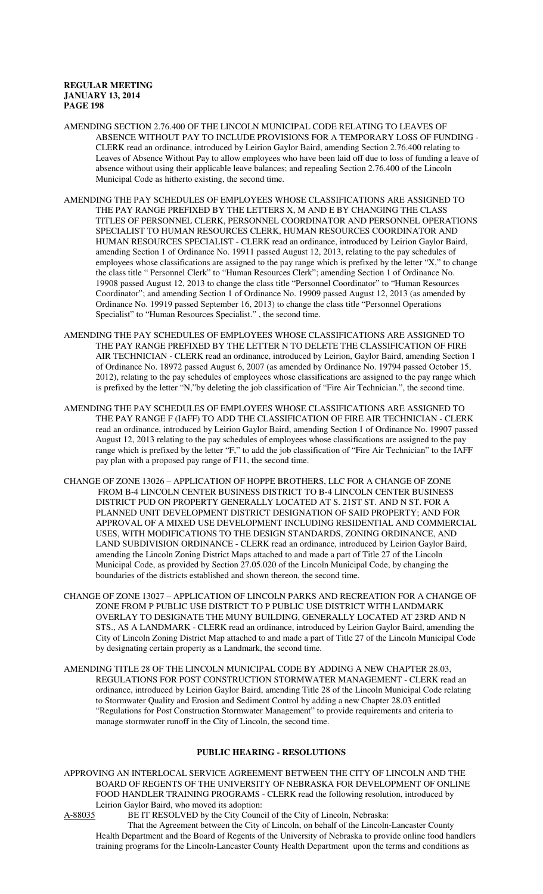- AMENDING SECTION 2.76.400 OF THE LINCOLN MUNICIPAL CODE RELATING TO LEAVES OF ABSENCE WITHOUT PAY TO INCLUDE PROVISIONS FOR A TEMPORARY LOSS OF FUNDING - CLERK read an ordinance, introduced by Leirion Gaylor Baird, amending Section 2.76.400 relating to Leaves of Absence Without Pay to allow employees who have been laid off due to loss of funding a leave of absence without using their applicable leave balances; and repealing Section 2.76.400 of the Lincoln Municipal Code as hitherto existing, the second time.
- AMENDING THE PAY SCHEDULES OF EMPLOYEES WHOSE CLASSIFICATIONS ARE ASSIGNED TO THE PAY RANGE PREFIXED BY THE LETTERS X, M AND E BY CHANGING THE CLASS TITLES OF PERSONNEL CLERK, PERSONNEL COORDINATOR AND PERSONNEL OPERATIONS SPECIALIST TO HUMAN RESOURCES CLERK, HUMAN RESOURCES COORDINATOR AND HUMAN RESOURCES SPECIALIST - CLERK read an ordinance, introduced by Leirion Gaylor Baird, amending Section 1 of Ordinance No. 19911 passed August 12, 2013, relating to the pay schedules of employees whose classifications are assigned to the pay range which is prefixed by the letter "X," to change the class title " Personnel Clerk" to "Human Resources Clerk"; amending Section 1 of Ordinance No. 19908 passed August 12, 2013 to change the class title "Personnel Coordinator" to "Human Resources Coordinator"; and amending Section 1 of Ordinance No. 19909 passed August 12, 2013 (as amended by Ordinance No. 19919 passed September 16, 2013) to change the class title "Personnel Operations Specialist" to "Human Resources Specialist." , the second time.
- AMENDING THE PAY SCHEDULES OF EMPLOYEES WHOSE CLASSIFICATIONS ARE ASSIGNED TO THE PAY RANGE PREFIXED BY THE LETTER N TO DELETE THE CLASSIFICATION OF FIRE AIR TECHNICIAN - CLERK read an ordinance, introduced by Leirion, Gaylor Baird, amending Section 1 of Ordinance No. 18972 passed August 6, 2007 (as amended by Ordinance No. 19794 passed October 15, 2012), relating to the pay schedules of employees whose classifications are assigned to the pay range which is prefixed by the letter "N,"by deleting the job classification of "Fire Air Technician.", the second time.
- AMENDING THE PAY SCHEDULES OF EMPLOYEES WHOSE CLASSIFICATIONS ARE ASSIGNED TO THE PAY RANGE F (IAFF) TO ADD THE CLASSIFICATION OF FIRE AIR TECHNICIAN - CLERK read an ordinance, introduced by Leirion Gaylor Baird, amending Section 1 of Ordinance No. 19907 passed August 12, 2013 relating to the pay schedules of employees whose classifications are assigned to the pay range which is prefixed by the letter "F," to add the job classification of "Fire Air Technician" to the IAFF pay plan with a proposed pay range of F11, the second time.
- CHANGE OF ZONE 13026 APPLICATION OF HOPPE BROTHERS, LLC FOR A CHANGE OF ZONE FROM B-4 LINCOLN CENTER BUSINESS DISTRICT TO B-4 LINCOLN CENTER BUSINESS DISTRICT PUD ON PROPERTY GENERALLY LOCATED AT S. 21ST ST. AND N ST. FOR A PLANNED UNIT DEVELOPMENT DISTRICT DESIGNATION OF SAID PROPERTY; AND FOR APPROVAL OF A MIXED USE DEVELOPMENT INCLUDING RESIDENTIAL AND COMMERCIAL USES, WITH MODIFICATIONS TO THE DESIGN STANDARDS, ZONING ORDINANCE, AND LAND SUBDIVISION ORDINANCE - CLERK read an ordinance, introduced by Leirion Gaylor Baird, amending the Lincoln Zoning District Maps attached to and made a part of Title 27 of the Lincoln Municipal Code, as provided by Section 27.05.020 of the Lincoln Municipal Code, by changing the boundaries of the districts established and shown thereon, the second time.
- CHANGE OF ZONE 13027 APPLICATION OF LINCOLN PARKS AND RECREATION FOR A CHANGE OF ZONE FROM P PUBLIC USE DISTRICT TO P PUBLIC USE DISTRICT WITH LANDMARK OVERLAY TO DESIGNATE THE MUNY BUILDING, GENERALLY LOCATED AT 23RD AND N STS., AS A LANDMARK - CLERK read an ordinance, introduced by Leirion Gaylor Baird, amending the City of Lincoln Zoning District Map attached to and made a part of Title 27 of the Lincoln Municipal Code by designating certain property as a Landmark, the second time.
- AMENDING TITLE 28 OF THE LINCOLN MUNICIPAL CODE BY ADDING A NEW CHAPTER 28.03, REGULATIONS FOR POST CONSTRUCTION STORMWATER MANAGEMENT - CLERK read an ordinance, introduced by Leirion Gaylor Baird, amending Title 28 of the Lincoln Municipal Code relating to Stormwater Quality and Erosion and Sediment Control by adding a new Chapter 28.03 entitled "Regulations for Post Construction Stormwater Management" to provide requirements and criteria to manage stormwater runoff in the City of Lincoln, the second time.

# **PUBLIC HEARING - RESOLUTIONS**

APPROVING AN INTERLOCAL SERVICE AGREEMENT BETWEEN THE CITY OF LINCOLN AND THE BOARD OF REGENTS OF THE UNIVERSITY OF NEBRASKA FOR DEVELOPMENT OF ONLINE FOOD HANDLER TRAINING PROGRAMS - CLERK read the following resolution, introduced by Leirion Gaylor Baird, who moved its adoption:<br>A-88035 BE IT RESOLVED by the City Counc

BE IT RESOLVED by the City Council of the City of Lincoln, Nebraska:

That the Agreement between the City of Lincoln, on behalf of the Lincoln-Lancaster County Health Department and the Board of Regents of the University of Nebraska to provide online food handlers training programs for the Lincoln-Lancaster County Health Department upon the terms and conditions as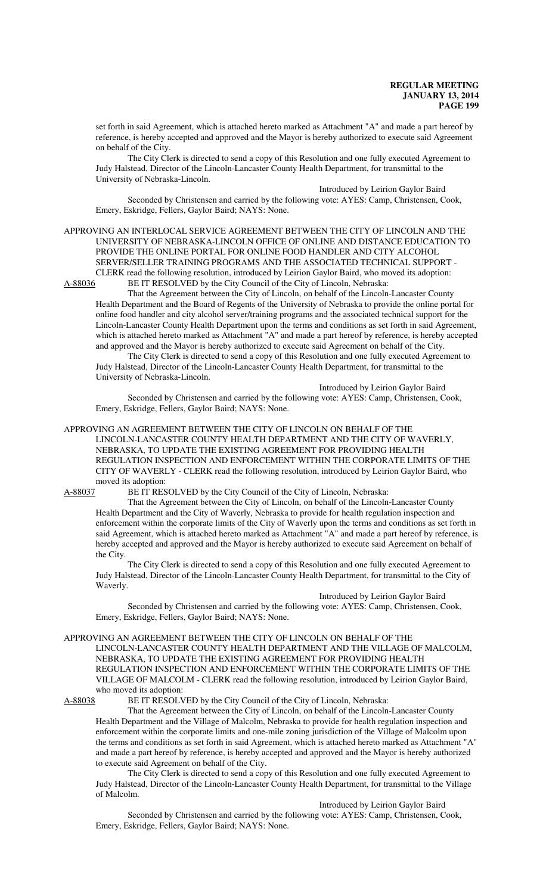set forth in said Agreement, which is attached hereto marked as Attachment "A" and made a part hereof by reference, is hereby accepted and approved and the Mayor is hereby authorized to execute said Agreement on behalf of the City.

The City Clerk is directed to send a copy of this Resolution and one fully executed Agreement to Judy Halstead, Director of the Lincoln-Lancaster County Health Department, for transmittal to the University of Nebraska-Lincoln.

Introduced by Leirion Gaylor Baird Seconded by Christensen and carried by the following vote: AYES: Camp, Christensen, Cook, Emery, Eskridge, Fellers, Gaylor Baird; NAYS: None.

APPROVING AN INTERLOCAL SERVICE AGREEMENT BETWEEN THE CITY OF LINCOLN AND THE UNIVERSITY OF NEBRASKA-LINCOLN OFFICE OF ONLINE AND DISTANCE EDUCATION TO PROVIDE THE ONLINE PORTAL FOR ONLINE FOOD HANDLER AND CITY ALCOHOL SERVER/SELLER TRAINING PROGRAMS AND THE ASSOCIATED TECHNICAL SUPPORT - CLERK read the following resolution, introduced by Leirion Gaylor Baird, who moved its adoption:<br>A-88036 BE IT RESOLVED by the City Council of the City of Lincoln, Nebraska: BE IT RESOLVED by the City Council of the City of Lincoln, Nebraska:

That the Agreement between the City of Lincoln, on behalf of the Lincoln-Lancaster County Health Department and the Board of Regents of the University of Nebraska to provide the online portal for online food handler and city alcohol server/training programs and the associated technical support for the Lincoln-Lancaster County Health Department upon the terms and conditions as set forth in said Agreement, which is attached hereto marked as Attachment "A" and made a part hereof by reference, is hereby accepted and approved and the Mayor is hereby authorized to execute said Agreement on behalf of the City.

The City Clerk is directed to send a copy of this Resolution and one fully executed Agreement to Judy Halstead, Director of the Lincoln-Lancaster County Health Department, for transmittal to the University of Nebraska-Lincoln.

Introduced by Leirion Gaylor Baird

Seconded by Christensen and carried by the following vote: AYES: Camp, Christensen, Cook, Emery, Eskridge, Fellers, Gaylor Baird; NAYS: None.

APPROVING AN AGREEMENT BETWEEN THE CITY OF LINCOLN ON BEHALF OF THE LINCOLN-LANCASTER COUNTY HEALTH DEPARTMENT AND THE CITY OF WAVERLY, NEBRASKA, TO UPDATE THE EXISTING AGREEMENT FOR PROVIDING HEALTH REGULATION INSPECTION AND ENFORCEMENT WITHIN THE CORPORATE LIMITS OF THE CITY OF WAVERLY - CLERK read the following resolution, introduced by Leirion Gaylor Baird, who moved its adoption:

A-88037 BE IT RESOLVED by the City Council of the City of Lincoln, Nebraska:

That the Agreement between the City of Lincoln, on behalf of the Lincoln-Lancaster County Health Department and the City of Waverly, Nebraska to provide for health regulation inspection and enforcement within the corporate limits of the City of Waverly upon the terms and conditions as set forth in said Agreement, which is attached hereto marked as Attachment "A" and made a part hereof by reference, is hereby accepted and approved and the Mayor is hereby authorized to execute said Agreement on behalf of the City.

The City Clerk is directed to send a copy of this Resolution and one fully executed Agreement to Judy Halstead, Director of the Lincoln-Lancaster County Health Department, for transmittal to the City of Waverly.

Introduced by Leirion Gaylor Baird Seconded by Christensen and carried by the following vote: AYES: Camp, Christensen, Cook, Emery, Eskridge, Fellers, Gaylor Baird; NAYS: None.

#### APPROVING AN AGREEMENT BETWEEN THE CITY OF LINCOLN ON BEHALF OF THE

LINCOLN-LANCASTER COUNTY HEALTH DEPARTMENT AND THE VILLAGE OF MALCOLM, NEBRASKA, TO UPDATE THE EXISTING AGREEMENT FOR PROVIDING HEALTH REGULATION INSPECTION AND ENFORCEMENT WITHIN THE CORPORATE LIMITS OF THE VILLAGE OF MALCOLM - CLERK read the following resolution, introduced by Leirion Gaylor Baird, who moved its adoption:

A-88038 BE IT RESOLVED by the City Council of the City of Lincoln, Nebraska:

That the Agreement between the City of Lincoln, on behalf of the Lincoln-Lancaster County Health Department and the Village of Malcolm, Nebraska to provide for health regulation inspection and enforcement within the corporate limits and one-mile zoning jurisdiction of the Village of Malcolm upon the terms and conditions as set forth in said Agreement, which is attached hereto marked as Attachment "A" and made a part hereof by reference, is hereby accepted and approved and the Mayor is hereby authorized to execute said Agreement on behalf of the City.

The City Clerk is directed to send a copy of this Resolution and one fully executed Agreement to Judy Halstead, Director of the Lincoln-Lancaster County Health Department, for transmittal to the Village of Malcolm.

Introduced by Leirion Gaylor Baird

Seconded by Christensen and carried by the following vote: AYES: Camp, Christensen, Cook, Emery, Eskridge, Fellers, Gaylor Baird; NAYS: None.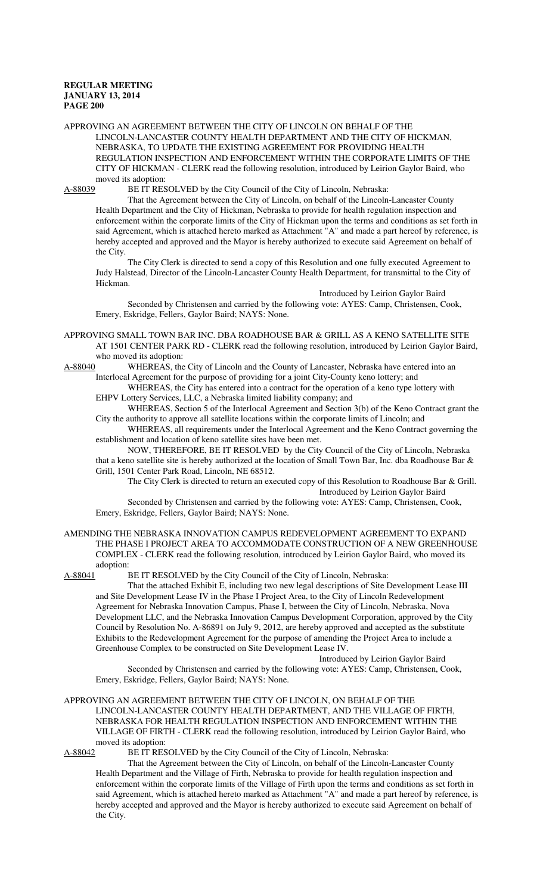APPROVING AN AGREEMENT BETWEEN THE CITY OF LINCOLN ON BEHALF OF THE LINCOLN-LANCASTER COUNTY HEALTH DEPARTMENT AND THE CITY OF HICKMAN, NEBRASKA, TO UPDATE THE EXISTING AGREEMENT FOR PROVIDING HEALTH REGULATION INSPECTION AND ENFORCEMENT WITHIN THE CORPORATE LIMITS OF THE CITY OF HICKMAN - CLERK read the following resolution, introduced by Leirion Gaylor Baird, who moved its adoption:

A-88039 BE IT RESOLVED by the City Council of the City of Lincoln, Nebraska:

That the Agreement between the City of Lincoln, on behalf of the Lincoln-Lancaster County Health Department and the City of Hickman, Nebraska to provide for health regulation inspection and enforcement within the corporate limits of the City of Hickman upon the terms and conditions as set forth in said Agreement, which is attached hereto marked as Attachment "A" and made a part hereof by reference, is hereby accepted and approved and the Mayor is hereby authorized to execute said Agreement on behalf of the City.

The City Clerk is directed to send a copy of this Resolution and one fully executed Agreement to Judy Halstead, Director of the Lincoln-Lancaster County Health Department, for transmittal to the City of Hickman.

Introduced by Leirion Gaylor Baird

Seconded by Christensen and carried by the following vote: AYES: Camp, Christensen, Cook, Emery, Eskridge, Fellers, Gaylor Baird; NAYS: None.

APPROVING SMALL TOWN BAR INC. DBA ROADHOUSE BAR & GRILL AS A KENO SATELLITE SITE AT 1501 CENTER PARK RD - CLERK read the following resolution, introduced by Leirion Gaylor Baird, who moved its adoption:

A-88040 WHEREAS, the City of Lincoln and the County of Lancaster, Nebraska have entered into an Interlocal Agreement for the purpose of providing for a joint City-County keno lottery; and

WHEREAS, the City has entered into a contract for the operation of a keno type lottery with EHPV Lottery Services, LLC, a Nebraska limited liability company; and

WHEREAS, Section 5 of the Interlocal Agreement and Section 3(b) of the Keno Contract grant the City the authority to approve all satellite locations within the corporate limits of Lincoln; and

WHEREAS, all requirements under the Interlocal Agreement and the Keno Contract governing the establishment and location of keno satellite sites have been met.

NOW, THEREFORE, BE IT RESOLVED by the City Council of the City of Lincoln, Nebraska that a keno satellite site is hereby authorized at the location of Small Town Bar, Inc. dba Roadhouse Bar & Grill, 1501 Center Park Road, Lincoln, NE 68512.

The City Clerk is directed to return an executed copy of this Resolution to Roadhouse Bar & Grill. Introduced by Leirion Gaylor Baird

Seconded by Christensen and carried by the following vote: AYES: Camp, Christensen, Cook, Emery, Eskridge, Fellers, Gaylor Baird; NAYS: None.

AMENDING THE NEBRASKA INNOVATION CAMPUS REDEVELOPMENT AGREEMENT TO EXPAND THE PHASE I PROJECT AREA TO ACCOMMODATE CONSTRUCTION OF A NEW GREENHOUSE COMPLEX - CLERK read the following resolution, introduced by Leirion Gaylor Baird, who moved its adoption:<br>A-88041 I

BE IT RESOLVED by the City Council of the City of Lincoln, Nebraska:

That the attached Exhibit E, including two new legal descriptions of Site Development Lease III and Site Development Lease IV in the Phase I Project Area, to the City of Lincoln Redevelopment Agreement for Nebraska Innovation Campus, Phase I, between the City of Lincoln, Nebraska, Nova Development LLC, and the Nebraska Innovation Campus Development Corporation, approved by the City Council by Resolution No. A-86891 on July 9, 2012, are hereby approved and accepted as the substitute Exhibits to the Redevelopment Agreement for the purpose of amending the Project Area to include a Greenhouse Complex to be constructed on Site Development Lease IV.

Introduced by Leirion Gaylor Baird

Seconded by Christensen and carried by the following vote: AYES: Camp, Christensen, Cook, Emery, Eskridge, Fellers, Gaylor Baird; NAYS: None.

APPROVING AN AGREEMENT BETWEEN THE CITY OF LINCOLN, ON BEHALF OF THE LINCOLN-LANCASTER COUNTY HEALTH DEPARTMENT, AND THE VILLAGE OF FIRTH, NEBRASKA FOR HEALTH REGULATION INSPECTION AND ENFORCEMENT WITHIN THE VILLAGE OF FIRTH - CLERK read the following resolution, introduced by Leirion Gaylor Baird, who moved its adoption:<br>A-88042 BE IT RES

BE IT RESOLVED by the City Council of the City of Lincoln, Nebraska:

That the Agreement between the City of Lincoln, on behalf of the Lincoln-Lancaster County Health Department and the Village of Firth, Nebraska to provide for health regulation inspection and enforcement within the corporate limits of the Village of Firth upon the terms and conditions as set forth in said Agreement, which is attached hereto marked as Attachment "A" and made a part hereof by reference, is hereby accepted and approved and the Mayor is hereby authorized to execute said Agreement on behalf of the City.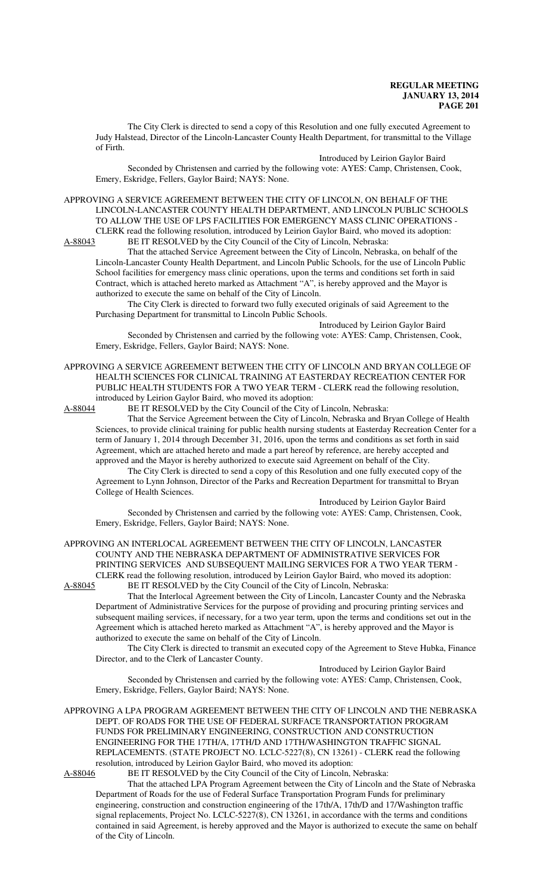The City Clerk is directed to send a copy of this Resolution and one fully executed Agreement to Judy Halstead, Director of the Lincoln-Lancaster County Health Department, for transmittal to the Village of Firth.

Introduced by Leirion Gaylor Baird

Seconded by Christensen and carried by the following vote: AYES: Camp, Christensen, Cook, Emery, Eskridge, Fellers, Gaylor Baird; NAYS: None.

APPROVING A SERVICE AGREEMENT BETWEEN THE CITY OF LINCOLN, ON BEHALF OF THE LINCOLN-LANCASTER COUNTY HEALTH DEPARTMENT, AND LINCOLN PUBLIC SCHOOLS TO ALLOW THE USE OF LPS FACILITIES FOR EMERGENCY MASS CLINIC OPERATIONS - CLERK read the following resolution, introduced by Leirion Gaylor Baird, who moved its adoption:

A-88043 BE IT RESOLVED by the City Council of the City of Lincoln, Nebraska:

That the attached Service Agreement between the City of Lincoln, Nebraska, on behalf of the Lincoln-Lancaster County Health Department, and Lincoln Public Schools, for the use of Lincoln Public School facilities for emergency mass clinic operations, upon the terms and conditions set forth in said Contract, which is attached hereto marked as Attachment "A", is hereby approved and the Mayor is authorized to execute the same on behalf of the City of Lincoln.

The City Clerk is directed to forward two fully executed originals of said Agreement to the Purchasing Department for transmittal to Lincoln Public Schools.

Introduced by Leirion Gaylor Baird

Seconded by Christensen and carried by the following vote: AYES: Camp, Christensen, Cook, Emery, Eskridge, Fellers, Gaylor Baird; NAYS: None.

APPROVING A SERVICE AGREEMENT BETWEEN THE CITY OF LINCOLN AND BRYAN COLLEGE OF HEALTH SCIENCES FOR CLINICAL TRAINING AT EASTERDAY RECREATION CENTER FOR PUBLIC HEALTH STUDENTS FOR A TWO YEAR TERM - CLERK read the following resolution, introduced by Leirion Gaylor Baird, who moved its adoption:

A-88044 BE IT RESOLVED by the City Council of the City of Lincoln, Nebraska:

That the Service Agreement between the City of Lincoln, Nebraska and Bryan College of Health Sciences, to provide clinical training for public health nursing students at Easterday Recreation Center for a term of January 1, 2014 through December 31, 2016, upon the terms and conditions as set forth in said Agreement, which are attached hereto and made a part hereof by reference, are hereby accepted and approved and the Mayor is hereby authorized to execute said Agreement on behalf of the City.

The City Clerk is directed to send a copy of this Resolution and one fully executed copy of the Agreement to Lynn Johnson, Director of the Parks and Recreation Department for transmittal to Bryan College of Health Sciences.

Introduced by Leirion Gaylor Baird

Seconded by Christensen and carried by the following vote: AYES: Camp, Christensen, Cook, Emery, Eskridge, Fellers, Gaylor Baird; NAYS: None.

APPROVING AN INTERLOCAL AGREEMENT BETWEEN THE CITY OF LINCOLN, LANCASTER COUNTY AND THE NEBRASKA DEPARTMENT OF ADMINISTRATIVE SERVICES FOR PRINTING SERVICES AND SUBSEQUENT MAILING SERVICES FOR A TWO YEAR TERM - CLERK read the following resolution, introduced by Leirion Gaylor Baird, who moved its adoption:<br>A-88045 BE IT RESOLVED by the City Council of the City of Lincoln, Nebraska: BE IT RESOLVED by the City Council of the City of Lincoln, Nebraska:

That the Interlocal Agreement between the City of Lincoln, Lancaster County and the Nebraska Department of Administrative Services for the purpose of providing and procuring printing services and subsequent mailing services, if necessary, for a two year term, upon the terms and conditions set out in the Agreement which is attached hereto marked as Attachment "A", is hereby approved and the Mayor is authorized to execute the same on behalf of the City of Lincoln.

The City Clerk is directed to transmit an executed copy of the Agreement to Steve Hubka, Finance Director, and to the Clerk of Lancaster County.

Introduced by Leirion Gaylor Baird

Seconded by Christensen and carried by the following vote: AYES: Camp, Christensen, Cook, Emery, Eskridge, Fellers, Gaylor Baird; NAYS: None.

APPROVING A LPA PROGRAM AGREEMENT BETWEEN THE CITY OF LINCOLN AND THE NEBRASKA DEPT. OF ROADS FOR THE USE OF FEDERAL SURFACE TRANSPORTATION PROGRAM FUNDS FOR PRELIMINARY ENGINEERING, CONSTRUCTION AND CONSTRUCTION ENGINEERING FOR THE 17TH/A, 17TH/D AND 17TH/WASHINGTON TRAFFIC SIGNAL REPLACEMENTS. (STATE PROJECT NO. LCLC-5227(8), CN 13261) - CLERK read the following resolution, introduced by Leirion Gaylor Baird, who moved its adoption:<br>A-88046 BE IT RESOLVED by the City Council of the City of Lincoln, l

BE IT RESOLVED by the City Council of the City of Lincoln, Nebraska:

That the attached LPA Program Agreement between the City of Lincoln and the State of Nebraska Department of Roads for the use of Federal Surface Transportation Program Funds for preliminary engineering, construction and construction engineering of the 17th/A, 17th/D and 17/Washington traffic signal replacements, Project No. LCLC-5227(8), CN 13261, in accordance with the terms and conditions contained in said Agreement, is hereby approved and the Mayor is authorized to execute the same on behalf of the City of Lincoln.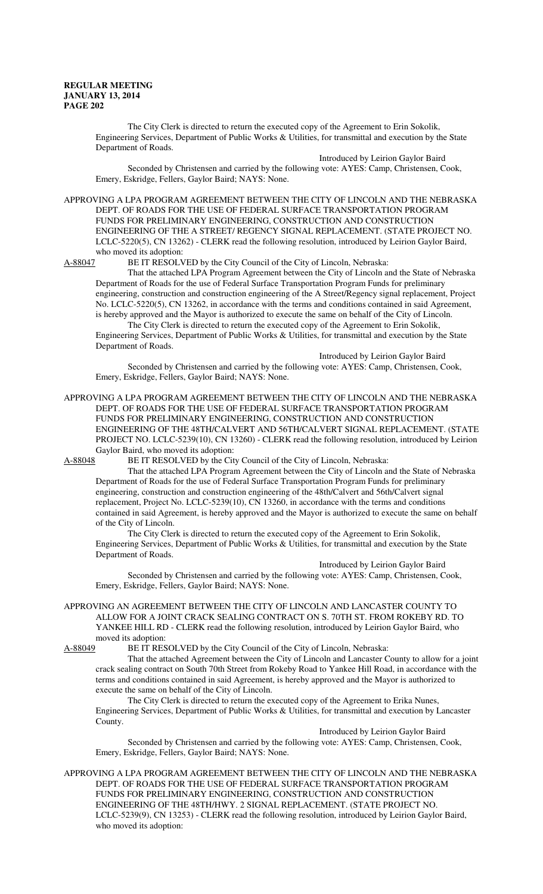The City Clerk is directed to return the executed copy of the Agreement to Erin Sokolik, Engineering Services, Department of Public Works & Utilities, for transmittal and execution by the State Department of Roads.

Introduced by Leirion Gaylor Baird

Seconded by Christensen and carried by the following vote: AYES: Camp, Christensen, Cook, Emery, Eskridge, Fellers, Gaylor Baird; NAYS: None.

APPROVING A LPA PROGRAM AGREEMENT BETWEEN THE CITY OF LINCOLN AND THE NEBRASKA DEPT. OF ROADS FOR THE USE OF FEDERAL SURFACE TRANSPORTATION PROGRAM FUNDS FOR PRELIMINARY ENGINEERING, CONSTRUCTION AND CONSTRUCTION ENGINEERING OF THE A STREET/ REGENCY SIGNAL REPLACEMENT. (STATE PROJECT NO. LCLC-5220(5), CN 13262) - CLERK read the following resolution, introduced by Leirion Gaylor Baird, who moved its adoption:<br>A-88047 BE IT RESOLV

BE IT RESOLVED by the City Council of the City of Lincoln, Nebraska:

That the attached LPA Program Agreement between the City of Lincoln and the State of Nebraska Department of Roads for the use of Federal Surface Transportation Program Funds for preliminary engineering, construction and construction engineering of the A Street/Regency signal replacement, Project No. LCLC-5220(5), CN 13262, in accordance with the terms and conditions contained in said Agreement, is hereby approved and the Mayor is authorized to execute the same on behalf of the City of Lincoln.

The City Clerk is directed to return the executed copy of the Agreement to Erin Sokolik, Engineering Services, Department of Public Works & Utilities, for transmittal and execution by the State Department of Roads.

Introduced by Leirion Gaylor Baird Seconded by Christensen and carried by the following vote: AYES: Camp, Christensen, Cook, Emery, Eskridge, Fellers, Gaylor Baird; NAYS: None.

APPROVING A LPA PROGRAM AGREEMENT BETWEEN THE CITY OF LINCOLN AND THE NEBRASKA DEPT. OF ROADS FOR THE USE OF FEDERAL SURFACE TRANSPORTATION PROGRAM FUNDS FOR PRELIMINARY ENGINEERING, CONSTRUCTION AND CONSTRUCTION ENGINEERING OF THE 48TH/CALVERT AND 56TH/CALVERT SIGNAL REPLACEMENT. (STATE PROJECT NO. LCLC-5239(10), CN 13260) - CLERK read the following resolution, introduced by Leirion Gaylor Baird, who moved its adoption:<br>A-88048 BE IT RESOLVED by the Cit

BE IT RESOLVED by the City Council of the City of Lincoln, Nebraska:

That the attached LPA Program Agreement between the City of Lincoln and the State of Nebraska Department of Roads for the use of Federal Surface Transportation Program Funds for preliminary engineering, construction and construction engineering of the 48th/Calvert and 56th/Calvert signal replacement, Project No. LCLC-5239(10), CN 13260, in accordance with the terms and conditions contained in said Agreement, is hereby approved and the Mayor is authorized to execute the same on behalf of the City of Lincoln.

The City Clerk is directed to return the executed copy of the Agreement to Erin Sokolik, Engineering Services, Department of Public Works & Utilities, for transmittal and execution by the State Department of Roads.

Introduced by Leirion Gaylor Baird Seconded by Christensen and carried by the following vote: AYES: Camp, Christensen, Cook, Emery, Eskridge, Fellers, Gaylor Baird; NAYS: None.

APPROVING AN AGREEMENT BETWEEN THE CITY OF LINCOLN AND LANCASTER COUNTY TO ALLOW FOR A JOINT CRACK SEALING CONTRACT ON S. 70TH ST. FROM ROKEBY RD. TO YANKEE HILL RD - CLERK read the following resolution, introduced by Leirion Gaylor Baird, who moved its adoption:

A-88049 BE IT RESOLVED by the City Council of the City of Lincoln, Nebraska:

That the attached Agreement between the City of Lincoln and Lancaster County to allow for a joint crack sealing contract on South 70th Street from Rokeby Road to Yankee Hill Road, in accordance with the terms and conditions contained in said Agreement, is hereby approved and the Mayor is authorized to execute the same on behalf of the City of Lincoln.

The City Clerk is directed to return the executed copy of the Agreement to Erika Nunes, Engineering Services, Department of Public Works & Utilities, for transmittal and execution by Lancaster County.

Introduced by Leirion Gaylor Baird

Seconded by Christensen and carried by the following vote: AYES: Camp, Christensen, Cook, Emery, Eskridge, Fellers, Gaylor Baird; NAYS: None.

APPROVING A LPA PROGRAM AGREEMENT BETWEEN THE CITY OF LINCOLN AND THE NEBRASKA DEPT. OF ROADS FOR THE USE OF FEDERAL SURFACE TRANSPORTATION PROGRAM FUNDS FOR PRELIMINARY ENGINEERING, CONSTRUCTION AND CONSTRUCTION ENGINEERING OF THE 48TH/HWY. 2 SIGNAL REPLACEMENT. (STATE PROJECT NO. LCLC-5239(9), CN 13253) - CLERK read the following resolution, introduced by Leirion Gaylor Baird, who moved its adoption: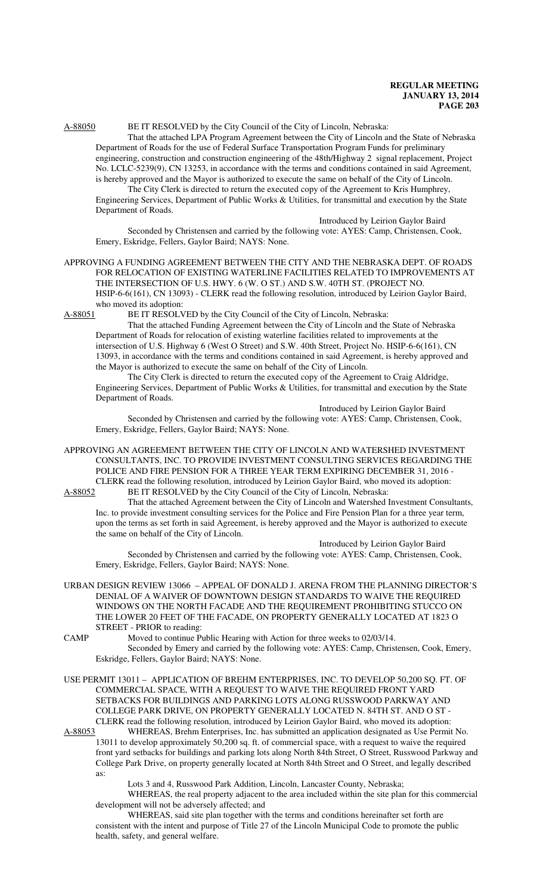# A-88050 BE IT RESOLVED by the City Council of the City of Lincoln, Nebraska:

That the attached LPA Program Agreement between the City of Lincoln and the State of Nebraska Department of Roads for the use of Federal Surface Transportation Program Funds for preliminary engineering, construction and construction engineering of the 48th/Highway 2 signal replacement, Project No. LCLC-5239(9), CN 13253, in accordance with the terms and conditions contained in said Agreement, is hereby approved and the Mayor is authorized to execute the same on behalf of the City of Lincoln.

The City Clerk is directed to return the executed copy of the Agreement to Kris Humphrey, Engineering Services, Department of Public Works & Utilities, for transmittal and execution by the State Department of Roads.

Introduced by Leirion Gaylor Baird

Seconded by Christensen and carried by the following vote: AYES: Camp, Christensen, Cook, Emery, Eskridge, Fellers, Gaylor Baird; NAYS: None.

# APPROVING A FUNDING AGREEMENT BETWEEN THE CITY AND THE NEBRASKA DEPT. OF ROADS FOR RELOCATION OF EXISTING WATERLINE FACILITIES RELATED TO IMPROVEMENTS AT THE INTERSECTION OF U.S. HWY. 6 (W. O ST.) AND S.W. 40TH ST. (PROJECT NO. HSIP-6-6(161), CN 13093) - CLERK read the following resolution, introduced by Leirion Gaylor Baird, who moved its adoption:<br>A-88051 BE IT RESOLV

BE IT RESOLVED by the City Council of the City of Lincoln, Nebraska: That the attached Funding Agreement between the City of Lincoln and the State of Nebraska Department of Roads for relocation of existing waterline facilities related to improvements at the intersection of U.S. Highway 6 (West O Street) and S.W. 40th Street, Project No. HSIP-6-6(161), CN

13093, in accordance with the terms and conditions contained in said Agreement, is hereby approved and the Mayor is authorized to execute the same on behalf of the City of Lincoln. The City Clerk is directed to return the executed copy of the Agreement to Craig Aldridge,

Engineering Services, Department of Public Works & Utilities, for transmittal and execution by the State Department of Roads.

Introduced by Leirion Gaylor Baird Seconded by Christensen and carried by the following vote: AYES: Camp, Christensen, Cook, Emery, Eskridge, Fellers, Gaylor Baird; NAYS: None.

APPROVING AN AGREEMENT BETWEEN THE CITY OF LINCOLN AND WATERSHED INVESTMENT CONSULTANTS, INC. TO PROVIDE INVESTMENT CONSULTING SERVICES REGARDING THE POLICE AND FIRE PENSION FOR A THREE YEAR TERM EXPIRING DECEMBER 31, 2016 - CLERK read the following resolution, introduced by Leirion Gaylor Baird, who moved its adoption: A-88052 BE IT RESOLVED by the City Council of the City of Lincoln, Nebraska:

That the attached Agreement between the City of Lincoln and Watershed Investment Consultants, Inc. to provide investment consulting services for the Police and Fire Pension Plan for a three year term, upon the terms as set forth in said Agreement, is hereby approved and the Mayor is authorized to execute the same on behalf of the City of Lincoln.

Introduced by Leirion Gaylor Baird Seconded by Christensen and carried by the following vote: AYES: Camp, Christensen, Cook, Emery, Eskridge, Fellers, Gaylor Baird; NAYS: None.

URBAN DESIGN REVIEW 13066 – APPEAL OF DONALD J. ARENA FROM THE PLANNING DIRECTOR'S DENIAL OF A WAIVER OF DOWNTOWN DESIGN STANDARDS TO WAIVE THE REQUIRED WINDOWS ON THE NORTH FACADE AND THE REQUIREMENT PROHIBITING STUCCO ON THE LOWER 20 FEET OF THE FACADE, ON PROPERTY GENERALLY LOCATED AT 1823 O STREET - PRIOR to reading:

CAMP Moved to continue Public Hearing with Action for three weeks to 02/03/14. Seconded by Emery and carried by the following vote: AYES: Camp, Christensen, Cook, Emery, Eskridge, Fellers, Gaylor Baird; NAYS: None.

USE PERMIT 13011 – APPLICATION OF BREHM ENTERPRISES, INC. TO DEVELOP 50,200 SQ. FT. OF COMMERCIAL SPACE, WITH A REQUEST TO WAIVE THE REQUIRED FRONT YARD SETBACKS FOR BUILDINGS AND PARKING LOTS ALONG RUSSWOOD PARKWAY AND COLLEGE PARK DRIVE, ON PROPERTY GENERALLY LOCATED N. 84TH ST. AND O ST -

CLERK read the following resolution, introduced by Leirion Gaylor Baird, who moved its adoption:<br>A-88053 WHEREAS, Brehm Enterprises, Inc. has submitted an application designated as Use Permit WHEREAS, Brehm Enterprises, Inc. has submitted an application designated as Use Permit No. 13011 to develop approximately 50,200 sq. ft. of commercial space, with a request to waive the required front yard setbacks for buildings and parking lots along North 84th Street, O Street, Russwood Parkway and College Park Drive, on property generally located at North 84th Street and O Street, and legally described as:

Lots 3 and 4, Russwood Park Addition, Lincoln, Lancaster County, Nebraska;

WHEREAS, the real property adjacent to the area included within the site plan for this commercial development will not be adversely affected; and

WHEREAS, said site plan together with the terms and conditions hereinafter set forth are consistent with the intent and purpose of Title 27 of the Lincoln Municipal Code to promote the public health, safety, and general welfare.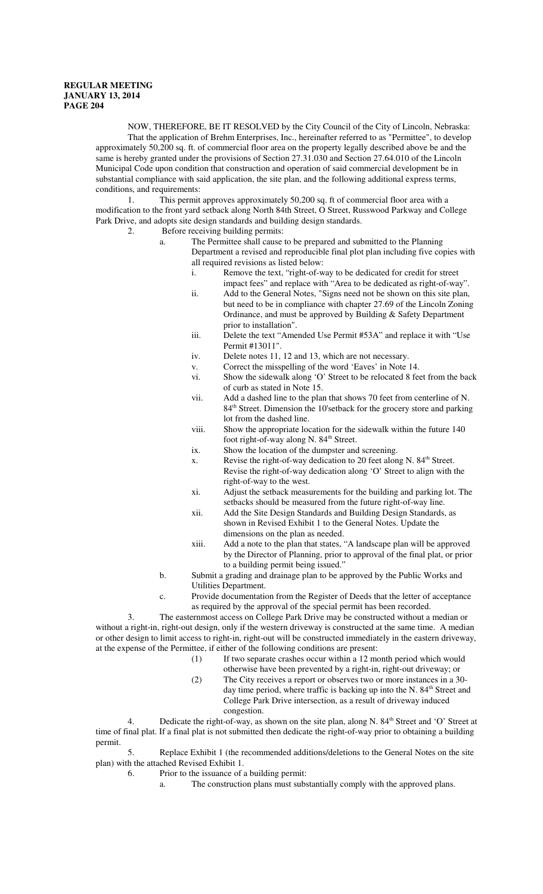NOW, THEREFORE, BE IT RESOLVED by the City Council of the City of Lincoln, Nebraska: That the application of Brehm Enterprises, Inc., hereinafter referred to as "Permittee", to develop approximately 50,200 sq. ft. of commercial floor area on the property legally described above be and the same is hereby granted under the provisions of Section 27.31.030 and Section 27.64.010 of the Lincoln Municipal Code upon condition that construction and operation of said commercial development be in substantial compliance with said application, the site plan, and the following additional express terms, conditions, and requirements:

1. This permit approves approximately 50,200 sq. ft of commercial floor area with a modification to the front yard setback along North 84th Street, O Street, Russwood Parkway and College Park Drive, and adopts site design standards and building design standards.

- 2. Before receiving building permits:
	- a. The Permittee shall cause to be prepared and submitted to the Planning Department a revised and reproducible final plot plan including five copies with all required revisions as listed below:
		- i. Remove the text, "right-of-way to be dedicated for credit for street impact fees" and replace with "Area to be dedicated as right-of-way".
		- ii. Add to the General Notes, "Signs need not be shown on this site plan, but need to be in compliance with chapter 27.69 of the Lincoln Zoning Ordinance, and must be approved by Building & Safety Department prior to installation".
		- iii. Delete the text "Amended Use Permit #53A" and replace it with "Use Permit #13011".
		- iv. Delete notes 11, 12 and 13, which are not necessary.
		- v. Correct the misspelling of the word 'Eaves' in Note 14.
		- vi. Show the sidewalk along 'O' Street to be relocated 8 feet from the back of curb as stated in Note 15.
		- vii. Add a dashed line to the plan that shows 70 feet from centerline of N. 84<sup>th</sup> Street. Dimension the 10'setback for the grocery store and parking lot from the dashed line.
		- viii. Show the appropriate location for the sidewalk within the future 140 foot right-of-way along N. 84<sup>th</sup> Street.
		- ix. Show the location of the dumpster and screening.
		- x. Revise the right-of-way dedication to 20 feet along N.  $84<sup>th</sup>$  Street. Revise the right-of-way dedication along 'O' Street to align with the right-of-way to the west.
		- xi. Adjust the setback measurements for the building and parking lot. The setbacks should be measured from the future right-of-way line.
		- xii. Add the Site Design Standards and Building Design Standards, as shown in Revised Exhibit 1 to the General Notes. Update the dimensions on the plan as needed.
		- xiii. Add a note to the plan that states, "A landscape plan will be approved by the Director of Planning, prior to approval of the final plat, or prior to a building permit being issued."
	- b. Submit a grading and drainage plan to be approved by the Public Works and Utilities Department.
	- c. Provide documentation from the Register of Deeds that the letter of acceptance as required by the approval of the special permit has been recorded.

The easternmost access on College Park Drive may be constructed without a median or without a right-in, right-out design, only if the western driveway is constructed at the same time. A median or other design to limit access to right-in, right-out will be constructed immediately in the eastern driveway, at the expense of the Permittee, if either of the following conditions are present:

- (1) If two separate crashes occur within a 12 month period which would otherwise have been prevented by a right-in, right-out driveway; or
- (2) The City receives a report or observes two or more instances in a 30 day time period, where traffic is backing up into the N. 84<sup>th</sup> Street and College Park Drive intersection, as a result of driveway induced congestion.

4. Dedicate the right-of-way, as shown on the site plan, along N.  $84<sup>th</sup>$  Street and 'O' Street at time of final plat. If a final plat is not submitted then dedicate the right-of-way prior to obtaining a building permit.

5. Replace Exhibit 1 (the recommended additions/deletions to the General Notes on the site plan) with the attached Revised Exhibit 1.

- 6. Prior to the issuance of a building permit:
	- a. The construction plans must substantially comply with the approved plans.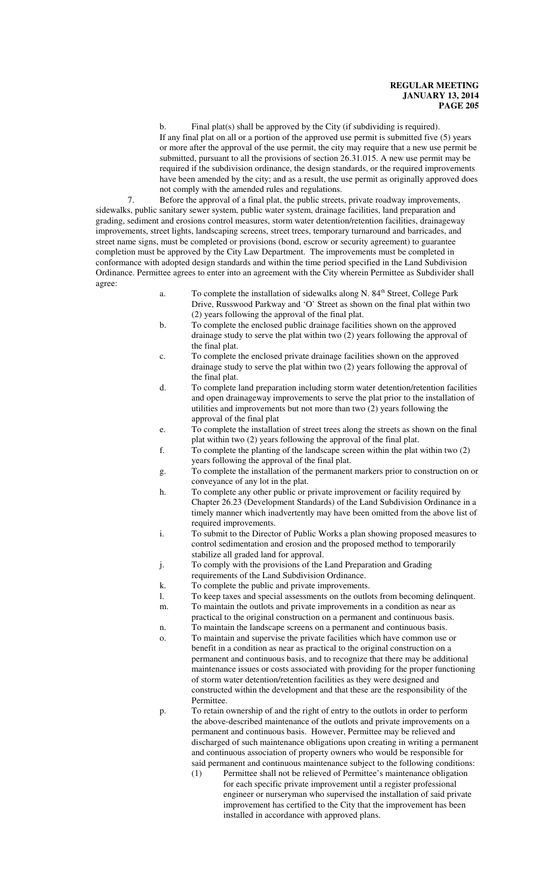b. Final plat(s) shall be approved by the City (if subdividing is required). If any final plat on all or a portion of the approved use permit is submitted five (5) years or more after the approval of the use permit, the city may require that a new use permit be submitted, pursuant to all the provisions of section 26.31.015. A new use permit may be required if the subdivision ordinance, the design standards, or the required improvements have been amended by the city; and as a result, the use permit as originally approved does not comply with the amended rules and regulations.

7. Before the approval of a final plat, the public streets, private roadway improvements, sidewalks, public sanitary sewer system, public water system, drainage facilities, land preparation and grading, sediment and erosions control measures, storm water detention/retention facilities, drainageway improvements, street lights, landscaping screens, street trees, temporary turnaround and barricades, and street name signs, must be completed or provisions (bond, escrow or security agreement) to guarantee completion must be approved by the City Law Department. The improvements must be completed in conformance with adopted design standards and within the time period specified in the Land Subdivision Ordinance. Permittee agrees to enter into an agreement with the City wherein Permittee as Subdivider shall agree:

- a. To complete the installation of sidewalks along N. 84<sup>th</sup> Street, College Park Drive, Russwood Parkway and 'O' Street as shown on the final plat within two (2) years following the approval of the final plat.
- b. To complete the enclosed public drainage facilities shown on the approved drainage study to serve the plat within two (2) years following the approval of the final plat.
- c. To complete the enclosed private drainage facilities shown on the approved drainage study to serve the plat within two (2) years following the approval of the final plat.
- d. To complete land preparation including storm water detention/retention facilities and open drainageway improvements to serve the plat prior to the installation of utilities and improvements but not more than two (2) years following the approval of the final plat
- e. To complete the installation of street trees along the streets as shown on the final plat within two (2) years following the approval of the final plat.
- f. To complete the planting of the landscape screen within the plat within two (2) years following the approval of the final plat.
- g. To complete the installation of the permanent markers prior to construction on or conveyance of any lot in the plat.
- h. To complete any other public or private improvement or facility required by Chapter 26.23 (Development Standards) of the Land Subdivision Ordinance in a timely manner which inadvertently may have been omitted from the above list of required improvements.
- i. To submit to the Director of Public Works a plan showing proposed measures to control sedimentation and erosion and the proposed method to temporarily stabilize all graded land for approval.
- j. To comply with the provisions of the Land Preparation and Grading
- requirements of the Land Subdivision Ordinance.
- k. To complete the public and private improvements.
- l. To keep taxes and special assessments on the outlots from becoming delinquent.
- m. To maintain the outlots and private improvements in a condition as near as practical to the original construction on a permanent and continuous basis.
- n. To maintain the landscape screens on a permanent and continuous basis.
- o. To maintain and supervise the private facilities which have common use or benefit in a condition as near as practical to the original construction on a permanent and continuous basis, and to recognize that there may be additional maintenance issues or costs associated with providing for the proper functioning of storm water detention/retention facilities as they were designed and constructed within the development and that these are the responsibility of the Permittee.
- p. To retain ownership of and the right of entry to the outlots in order to perform the above-described maintenance of the outlots and private improvements on a permanent and continuous basis. However, Permittee may be relieved and discharged of such maintenance obligations upon creating in writing a permanent and continuous association of property owners who would be responsible for said permanent and continuous maintenance subject to the following conditions:
	- (1) Permittee shall not be relieved of Permittee's maintenance obligation for each specific private improvement until a register professional engineer or nurseryman who supervised the installation of said private improvement has certified to the City that the improvement has been installed in accordance with approved plans.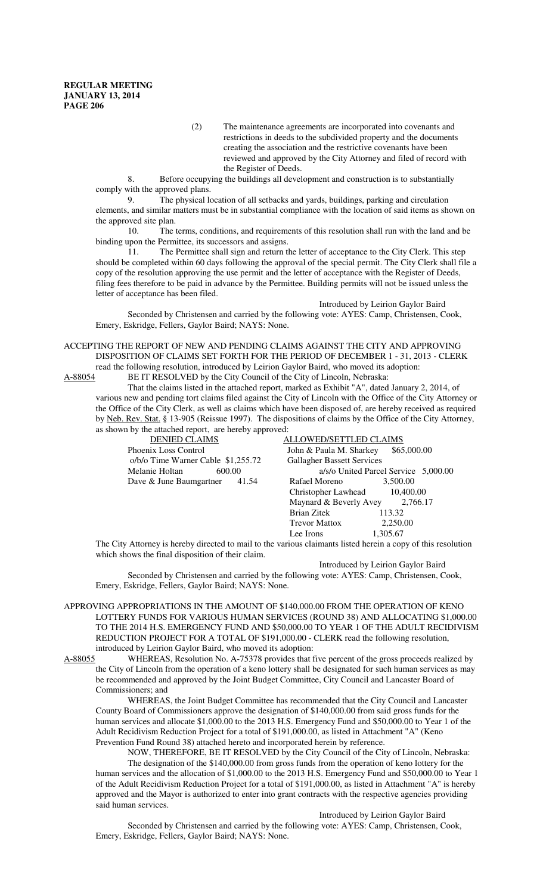(2) The maintenance agreements are incorporated into covenants and restrictions in deeds to the subdivided property and the documents creating the association and the restrictive covenants have been reviewed and approved by the City Attorney and filed of record with the Register of Deeds.

8. Before occupying the buildings all development and construction is to substantially comply with the approved plans.

9. The physical location of all setbacks and yards, buildings, parking and circulation elements, and similar matters must be in substantial compliance with the location of said items as shown on the approved site plan.

10. The terms, conditions, and requirements of this resolution shall run with the land and be binding upon the Permittee, its successors and assigns.

11. The Permittee shall sign and return the letter of acceptance to the City Clerk. This step should be completed within 60 days following the approval of the special permit. The City Clerk shall file a copy of the resolution approving the use permit and the letter of acceptance with the Register of Deeds, filing fees therefore to be paid in advance by the Permittee. Building permits will not be issued unless the letter of acceptance has been filed.

Introduced by Leirion Gaylor Baird Seconded by Christensen and carried by the following vote: AYES: Camp, Christensen, Cook, Emery, Eskridge, Fellers, Gaylor Baird; NAYS: None.

ACCEPTING THE REPORT OF NEW AND PENDING CLAIMS AGAINST THE CITY AND APPROVING DISPOSITION OF CLAIMS SET FORTH FOR THE PERIOD OF DECEMBER 1 - 31, 2013 - CLERK read the following resolution, introduced by Leirion Gaylor Baird, who moved its adoption:<br>A-88054 BE IT RESOLVED by the City Council of the City of Lincoln, Nebraska: BE IT RESOLVED by the City Council of the City of Lincoln, Nebraska:

That the claims listed in the attached report, marked as Exhibit "A", dated January 2, 2014, of various new and pending tort claims filed against the City of Lincoln with the Office of the City Attorney or the Office of the City Clerk, as well as claims which have been disposed of, are hereby received as required by Neb. Rev. Stat. § 13-905 (Reissue 1997). The dispositions of claims by the Office of the City Attorney, as shown by the attached report, are hereby approved:

| .                                  |                                        |
|------------------------------------|----------------------------------------|
| <b>DENIED CLAIMS</b>               | ALLOWED/SETTLED CLAIMS                 |
| Phoenix Loss Control               | John & Paula M. Sharkey<br>\$65,000.00 |
| o/b/o Time Warner Cable \$1,255.72 | <b>Gallagher Bassett Services</b>      |
| Melanie Holtan<br>600.00           | a/s/o United Parcel Service 5,000.00   |
| Dave & June Baumgartner<br>41.54   | Rafael Moreno<br>3,500.00              |
|                                    | 10,400.00<br>Christopher Lawhead       |
|                                    | Maynard & Beverly Avey<br>2.766.17     |
|                                    | Brian Zitek<br>113.32                  |
|                                    | 2.250.00<br><b>Trevor Mattox</b>       |
|                                    | 1,305.67<br>Lee Irons                  |
|                                    |                                        |

The City Attorney is hereby directed to mail to the various claimants listed herein a copy of this resolution which shows the final disposition of their claim.

Introduced by Leirion Gaylor Baird Seconded by Christensen and carried by the following vote: AYES: Camp, Christensen, Cook, Emery, Eskridge, Fellers, Gaylor Baird; NAYS: None.

APPROVING APPROPRIATIONS IN THE AMOUNT OF \$140,000.00 FROM THE OPERATION OF KENO LOTTERY FUNDS FOR VARIOUS HUMAN SERVICES (ROUND 38) AND ALLOCATING \$1,000.00 TO THE 2014 H.S. EMERGENCY FUND AND \$50,000.00 TO YEAR 1 OF THE ADULT RECIDIVISM REDUCTION PROJECT FOR A TOTAL OF \$191,000.00 - CLERK read the following resolution, introduced by Leirion Gaylor Baird, who moved its adoption:

A-88055 WHEREAS, Resolution No. A-75378 provides that five percent of the gross proceeds realized by the City of Lincoln from the operation of a keno lottery shall be designated for such human services as may be recommended and approved by the Joint Budget Committee, City Council and Lancaster Board of Commissioners; and

WHEREAS, the Joint Budget Committee has recommended that the City Council and Lancaster County Board of Commissioners approve the designation of \$140,000.00 from said gross funds for the human services and allocate \$1,000.00 to the 2013 H.S. Emergency Fund and \$50,000.00 to Year 1 of the Adult Recidivism Reduction Project for a total of \$191,000.00, as listed in Attachment "A" (Keno Prevention Fund Round 38) attached hereto and incorporated herein by reference.

NOW, THEREFORE, BE IT RESOLVED by the City Council of the City of Lincoln, Nebraska: The designation of the \$140,000.00 from gross funds from the operation of keno lottery for the human services and the allocation of \$1,000.00 to the 2013 H.S. Emergency Fund and \$50,000.00 to Year 1 of the Adult Recidivism Reduction Project for a total of \$191,000.00, as listed in Attachment "A" is hereby approved and the Mayor is authorized to enter into grant contracts with the respective agencies providing said human services.

Introduced by Leirion Gaylor Baird Seconded by Christensen and carried by the following vote: AYES: Camp, Christensen, Cook, Emery, Eskridge, Fellers, Gaylor Baird; NAYS: None.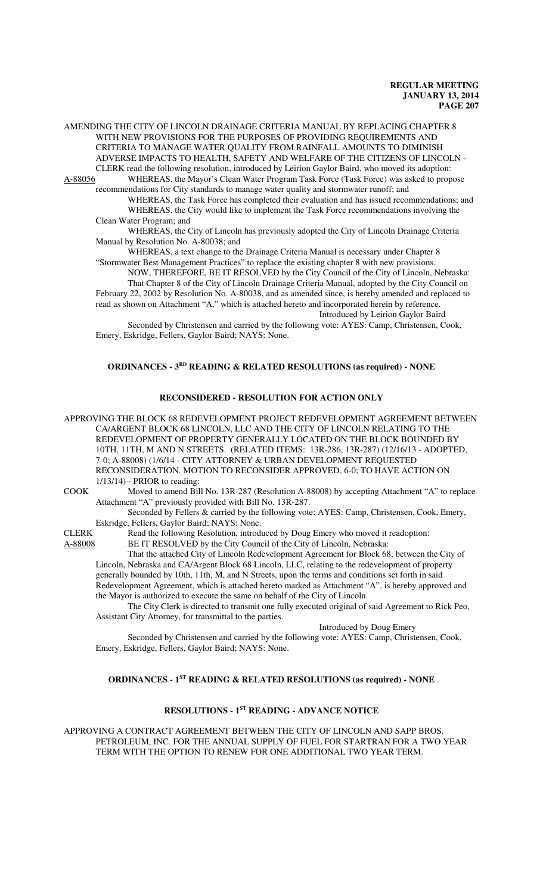AMENDING THE CITY OF LINCOLN DRAINAGE CRITERIA MANUAL BY REPLACING CHAPTER 8 WITH NEW PROVISIONS FOR THE PURPOSES OF PROVIDING REQUIREMENTS AND CRITERIA TO MANAGE WATER QUALITY FROM RAINFALL AMOUNTS TO DIMINISH ADVERSE IMPACTS TO HEALTH, SAFETY AND WELFARE OF THE CITIZENS OF LINCOLN - CLERK read the following resolution, introduced by Leirion Gaylor Baird, who moved its adoption: A-88056 WHEREAS, the Mayor's Clean Water Program Task Force (Task Force) was asked to propose

recommendations for City standards to manage water quality and stormwater runoff; and WHEREAS, the Task Force has completed their evaluation and has issued recommendations; and

WHEREAS, the City would like to implement the Task Force recommendations involving the Clean Water Program; and

WHEREAS, the City of Lincoln has previously adopted the City of Lincoln Drainage Criteria Manual by Resolution No. A-80038; and

WHEREAS, a text change to the Drainage Criteria Manual is necessary under Chapter 8 "Stormwater Best Management Practices" to replace the existing chapter 8 with new provisions.

NOW, THEREFORE, BE IT RESOLVED by the City Council of the City of Lincoln, Nebraska: That Chapter 8 of the City of Lincoln Drainage Criteria Manual, adopted by the City Council on February 22, 2002 by Resolution No. A-80038, and as amended since, is hereby amended and replaced to read as shown on Attachment "A," which is attached hereto and incorporated herein by reference. Introduced by Leirion Gaylor Baird

Seconded by Christensen and carried by the following vote: AYES: Camp, Christensen, Cook, Emery, Eskridge, Fellers, Gaylor Baird; NAYS: None.

## **ORDINANCES - 3<sup>RD</sup> READING & RELATED RESOLUTIONS (as required) - NONE**

# **RECONSIDERED - RESOLUTION FOR ACTION ONLY**

APPROVING THE BLOCK 68 REDEVELOPMENT PROJECT REDEVELOPMENT AGREEMENT BETWEEN CA/ARGENT BLOCK 68 LINCOLN, LLC AND THE CITY OF LINCOLN RELATING TO THE REDEVELOPMENT OF PROPERTY GENERALLY LOCATED ON THE BLOCK BOUNDED BY 10TH, 11TH, M AND N STREETS. (RELATED ITEMS: 13R-286, 13R-287) (12/16/13 - ADOPTED, 7-0; A-88008) (1/6/14 - CITY ATTORNEY & URBAN DEVELOPMENT REQUESTED RECONSIDERATION. MOTION TO RECONSIDER APPROVED, 6-0; TO HAVE ACTION ON 1/13/14) - PRIOR to reading:

COOK Moved to amend Bill No. 13R-287 (Resolution A-88008) by accepting Attachment "A" to replace Attachment "A" previously provided with Bill No. 13R-287.

Seconded by Fellers & carried by the following vote: AYES: Camp, Christensen, Cook, Emery, Eskridge, Fellers, Gaylor Baird; NAYS: None.

CLERK Read the following Resolution, introduced by Doug Emery who moved it readoption:

A-88008 BE IT RESOLVED by the City Council of the City of Lincoln, Nebraska:

That the attached City of Lincoln Redevelopment Agreement for Block 68, between the City of Lincoln, Nebraska and CA/Argent Block 68 Lincoln, LLC, relating to the redevelopment of property generally bounded by 10th, 11th, M, and N Streets, upon the terms and conditions set forth in said Redevelopment Agreement, which is attached hereto marked as Attachment "A", is hereby approved and the Mayor is authorized to execute the same on behalf of the City of Lincoln.

The City Clerk is directed to transmit one fully executed original of said Agreement to Rick Peo, Assistant City Attorney, for transmittal to the parties.

Introduced by Doug Emery

Seconded by Christensen and carried by the following vote: AYES: Camp, Christensen, Cook, Emery, Eskridge, Fellers, Gaylor Baird; NAYS: None.

#### **ORDINANCES - 1ST READING & RELATED RESOLUTIONS (as required) - NONE**

# **RESOLUTIONS - 1ST READING - ADVANCE NOTICE**

APPROVING A CONTRACT AGREEMENT BETWEEN THE CITY OF LINCOLN AND SAPP BROS. PETROLEUM, INC. FOR THE ANNUAL SUPPLY OF FUEL FOR STARTRAN FOR A TWO YEAR TERM WITH THE OPTION TO RENEW FOR ONE ADDITIONAL TWO YEAR TERM.